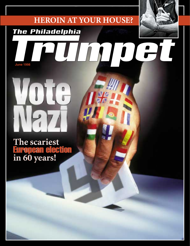

**The scariest The scariest** European election European election**in 60 years!in 60 years!**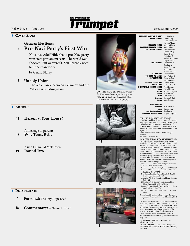

#### ♦ **COVER STORY**

#### **German Elections: Pro-Nazi Party's First Win** 2

Not since Adolf Hitler has a pro-Nazi party won state parliament seats. The world was shocked. But we weren't. You urgently need to understand why.

by Gerald Flurry

#### **Unholy Union** 6

The old alliance between Germany and the Vatican is building again.

#### ♦ **ARTICLES**

21

#### **Heroin at Your House?** 13

A message to parents:

**Why Teens Rebel** 17

> Asian Financial Meltdown **Round Two**

#### ♦ **DEPARTMENTS**

- **Personal:** The Day Hope Died 1
- **Commentary:** A Nation Divided 28



**ON THE COVER:** *Dangerous signs for Europe—Germany's far-right is racking up political successes.* (Joel Hilliker/Index Stock Photography)





17



21

| <b>PUBLISHER and EDITOR IN CHIEF</b> | Gerald Flurry        |
|--------------------------------------|----------------------|
| <b>SFNIOR FDITORS</b>                | Dennis Leap          |
|                                      | J. Tim Thompson      |
|                                      | Vyron Wilkins        |
| <b>MANAGING FDITOR</b>               | Stephen Flurry       |
| <b>ASSISTANT MANAGING EDITOR</b>     | <b>Joel Hilliker</b> |
| <b>CONTRIBUTING EDITORS</b>          | Gary Rethford        |
|                                      | Nancy Coffey         |
|                                      | Deborah Leap         |
|                                      | Paula Powell         |
|                                      | Melody Thompson      |
|                                      | Magda Wilkins        |
| <b>CONTRIBUTORS</b>                  | Gareth Fraser        |
|                                      | Ron Fraser           |
|                                      | Shane Granger        |
|                                      | Andrew Locher        |
|                                      | Wilbur Malone        |
| <b>ART DIRFCTOR</b>                  | <b>Steve Wilkins</b> |
| <b>CONTRIBUTING ARTIST</b>           | Gary Rethford        |
| PHOTOGRAPHERS                        | David Jardine        |
|                                      | Stephen Flurry       |
| <b>PREPRESS PRODUCTION</b>           | Mark Carroll         |
| <b>CIRCIII ATION</b>                 | Shane Granger        |
| INTERNATIONAL EDITIONS EDITOR        | Wik Heerma           |
| <b>Dutch</b>                         | Henk Heerma          |
| French                               | Antonio Trapasso     |
| German                               | Wik Heerma           |
| <b>Italian</b>                       | Daniel Frendo        |
| <b>Norwegian</b>                     | Asbjørn Osbak        |
| <b>Spanish</b>                       | Jorge Esparza        |
|                                      |                      |

#### OFFICE DIRECTORS Australasia

Canada Central and South America Britain, Europe, Middle East, Africa Wayne Turgeon Alex Harrison Dennis Leap Ron Fraser

*THE PHILADELPHIA TRUMPET* (ISSN

10706348) is published monthly (except bimonthly March/April and September/October issues) by the Philadelphia Church of God, 1019 Waterwood Parkway, Suite F, Edmond, OK 73034. Periodicals postage paid at Edmond, OK, and additional mail-ing offices.

©1998 Philadelphia Church of God. All rights reserved.

PRINTED IN THE U.S.A.

*HOW YOUR SUBSCRIPTION HAS BEEN PAID:* The Philadelphia Trumpet has no subscription price — it is free. This is made possible by the tithes and offerings of the membership of the Philadelphia Church of God and others. Contributions, however, are welcomed and are tax-deductible in the United States, Canada, and New Zealand. Those who wish to voluntarily aid and support this worldwide Work of God are gladly welcomed as co-workers in the effort to "hold fast" to the traditions established in the true Church by Herbert W. Armstrong and to proclaim a final warning to the world.

Contributions or letters of interest june be sent to one of our offices nearest you:

United States: PO Box 3700, Edmond, OK 73083. Canada: P.O. Box 61541, Fennel Postal Outlet,

Hamilton, ON L8T 5A1 New Zealand and the Pacific Isles: P.O. Box 38- 424, Howick, Auckland, 1730 Australia: P.O. Box 6626, Upper Mount Gravatt,

QLD 4122

Philippines: P.O. Box 1372, Q.C. Central Post Office, Quezon City, Metro Manila Britain, Europe, Middle East: P.O. Box 1, Abbots

Langley, Herts WD5 OBS Africa: P.O. Box 2969, Durbanville, 7551 South Africa

**Be sure to notify us immediately of any change in your address. Please include your old mailing label and the new address.**

The publishers assume no responsibility for return of unsolicited artwork, photographs or manuscripts. The "LETTERS" section is made up of various letters from our readers. The editor reserves the right to use any let-ters, in whole or in part, as he deems in the public interest, and to edit the letter for clarity or space. Unless otherwise noted, the scriptures quoted in this publication are from the King James Version of the

Holy Bible. For your **FREE SUBSCRIPTION** in the U.S.,

call **405-340-7474.**

**U.S. POSTMASTER — send address changes to:**  *The Philadelphia Trumpet***, PO Box 3700, Edmond, OK 73083**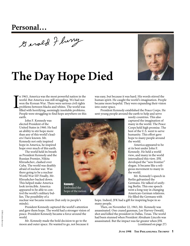## **Personal…**

Gerald 7 hurry



## **The Day Hope Died**

n 1963, America was the most powerful nation in the world. But America was still struggling. We had not won the Korean War. There were serious civil rights problems between blacks and whites. The world was filled with horrifying, seemingly insoluble problems. People were struggling to find hope anywhere on this earth. I

John F. Kennedy was elected President of the United States in 1960. He had an ability to stir hope more than any of this world's leaders I have known. Mr. Kennedy not only inspired hope in America, he inspired hope over much of this earth.

The world held its breath as President Kennedy and the Russian Premier, Nikita Khrushchev, clashed over Cuba. The world was deathly afraid of nuclear war. Was there going to be a nuclear World War III? Finally, Mr. Khrushchev backed down. This helped make America look invincible. America appeared to be able to control the world's military bullies. The possibility of a

was easy, but because it was hard. His words stirred the human spirit. He caught the world's imagination. People became more hopeful. They were expanding their vision into outer space.

President Kennedy established the Peace Corps. He sent young people around the earth to help and serve



nuclear war became remote (but only in people's minds).

President Kennedy captured the world's attention and gave them hope. The world had a stronger vision of peace. President Kennedy became a force around the world.

Mr. Kennedy made the bold decision to go to the moon and outer space. He wanted to go, not because it needy countries. This also captured the imagination of many in the world. The Peace Corps held high promise. The best of the U.S. went to serve humanity. This effort gave hope to many people around the world.

America appeared to be at its best under John F. Kennedy. He held a world view, and many in the world internalized this view. JFK developed the "new frontier" slogan. It became like a religious movement to many in the world.

Mr. Kennedy's speech in Berlin galvanized the Germans. He talked of unifying Berlin. This one speech went a long way in changing American-German relations. He filled the Germans with

hope. Indeed, JFK had a gift for inspiring hope in so many people.

Then, on November 22, 1963, Mr. Kennedy was assassinated. One crazed gunman, Lee Harvey Oswald, shot and killed the president in Dallas, Texas. The world had been stunned when President Abraham Lincoln was assassinated. But the impact was far greater when JFK (continued on page 27)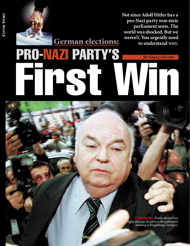**Not since Adolf Hitler has a pro-Nazi party won state parliament seats. The world was shocked. But we weren't. You urgently need to understand WHY.**

**German elections:**

# **BY GERALD FLURRY** First Win PRO-NAZI PARTY'S

**A Shocking Win: Newly-elected Frey** fights through the press to the parliament building in Magdeburg, Germany.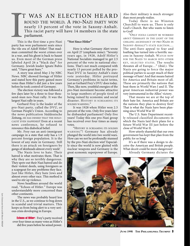## This T WAS AN ELECTION HEARD ROUND THE WORLD. A PRO-NAZI PARTY WON nearly 13 percent of the vote in Saxony-Anhalt. This racist party will have 14 members in the state parliament.

This is the first time a pro-Nazi party has won parliament seats since the vile era of Adolf Hitler! That madman committed the worst crimes ever in a war, and his ghost is back to haunt us. Even most of the German press labeled April 26 a "black day" for Germany. Jewish leader Ignatz Bubis said, "I have great fears."

A story was aired May 2 by NBC News. NBC showed footage of Hitler and stated how this party gained more votes than Hitler's did just a few years before he took control of Germany.

The election victory was followed a few days later by a three to four thousand-man neo-Nazi rally. It was the largest Nazi rally in years.

Gerhard Frey is the leader of the pro-Nazi party, called the DVU, or German People's Union. According to the news publication Süddeutsche Zeitung, HE HAS DENIED THAT THE HOLO-CAUST EVEN HAPPENED! Even at a recent news conference, he refused to renounce this diabolical belief.

Mr. Frey ran an anti-immigrant campaign in a state that only has a 1.9 percent foreign population. It is the lowest of any state in Germany. Still there is an attack on foreigners by gangs of skinheads almost every week!

The Nazis love to hate. Their hatred is what motivates them. That is why they are so terribly dangerous. They spew out their Nazi hatred and do their violent deeds, using foreigners as a scapegoat for any problems they face. Just like Hitler, they hate Jews and almost every other race. This method is used to stir up violence.

News headlines around the world read, "Echoes of Hitler." Europe was understandably more concerned than other continents.

The news was probably heard less in the U.S., as we continue to bog down in scandal and trivial matters. This keeps us from being alert to a very serious crisis developing in Europe.

**Echoes of Hitler:** Frey's party received over four times as many votes as Hitler's did five years before he seized power.

#### **"Not Since Hitler"**

Here is what Germany Alert wrote on April 27 (emphasis mine): "Seventy years ago, in 1928, Adolf Hitler's National Socialists managed to get 2.5 percent of the vote in national elections. That's not much compared with nearly 13 percent polled by the pro-Nazi DVU in Saxony-Anhalt's state vote yesterday. Hitler portrayed Germany's problems in racist terms, just as Gerhard Frey's DVU does today. Then, like now, youthful energies of the pro-Nazi movement become attractive to large numbers of people tired of being ruined by economic and social disaster. HISTORY IS SCREAMING ITS SOLEMN WARNING."

It was 1928 when Hitler won 2.5 percent of the vote. Only five years later he disbanded parliament! Only five years! Today this one pro-Nazi group has received over four times as many votes.

"HISTORY IS SCREAMING ITS SOLEMN WARNING"! Germany has already plunged the world into two world wars. How can we not be profoundly stunned by the pro-Nazi election win? Especially since the world is now glutted with nuclear weapons and Germany is the great economic superpower of Europe.

Also their military is much stronger than most people realize.

Today there is no Winston Churchill to warn us. There is only God's Church. But who wants to listen to God?

"ONLY FOOLS CANNOT BE WORRIED ABOUT GERMANY IN THE LIGHT OF THE CHILLING ASCENDANCY OF PRO-NAZIS IN SAXONY-ANHALT'S STATE ELECTION.… The anti-Euro appeal to fear and loathing has turned into a horrific success in Saxony-Anhalt. WATCH NOW FOR THE NAZIS TO MARCH INTO OTHER KEY, SELECTED STATES. The results threaten all of Europe…" (ibid.). The Nazis are going to force the major political parties to accept much of their message of hate! And that means hatred for America and Britain most of all. These are primarily the nations that beat them in World Wars I and II. The great American industrial power was very instrumental in the Allies' victory.

That means we are at the top of their hate list. America and Britain are the nations they plan to destroy first! That is what the Nazis have been planning since World War II!

The U.S. State Department recently released classified documents in which the Nazis laid their plans for a future World War III just before the close of World War II.

How utterly shameful that our own government has kept that plan from the public for so long!

It's as if there was a design to deceive the American and British people. What deceit could be more dangerous?

Already Germany dictates the



**JUNE 1998 THE PHILADELPHIA TRUMPET** 3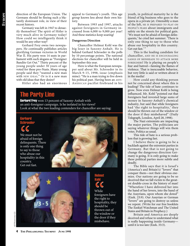direction of the European Union. The Germans should be fleeing such a blatantly dominant role, in view of their recent history.

Germany was left in 1947 to denazify themselves! The spirit of Hitler is very much alive in Germany today! How could we intelligently think it would be any other way?

Gerhard Frey owns two newspapers. He continually publishes articles glorifying German victories in World War II. His party won 14 seats in parliament with such slogans as "Foreigner Bandits Get Out." Thirty percent of the young people under 30 years of age voted for these pro-Nazis. Many young people said they "wanted a new man with NEW IDEAS." Or is it a new man with old ideas that they desire?

Hitler also had an enormous

appeal to Germany's youth. This age group knows less about their own history.

Between 1993 and 1997, attacks against foreigners in Germany increased from 6,000 to 9,000 per year! And these statistics keep soaring!

#### **Dangerous Direction**

Chancellor Helmut Kohl was the big loser in Saxony-Anhalt. He is behind Gerhard Schroeder in the polls by 10 percentage points. The national elections for chancellor will be held in September this year.

Here is what the European newspaper said about Mr. Schroeder in its March 9-15, 1998, issue (emphasis mine): "He is a man trying to live down his political past. Having been an ANTI-AMERICAN pacifist firebrand in his

the right to

should be thrown out of the window or the door if they misbehave.

## The Party Line

**Gerhard Frey** won 13 percent of Saxony-Anhalt with an anti-foreigner campaign. Is he isolated in his views? Look at what the two leading contenders for chancellor are saying:



(P/WIDEWORLD (2) AP/WIDEWORLD (2) youth, in political maturity he is the friend of big business who goes to the opera in a private jet. Ostensibly a man of the left, HE IS PREPARED TO PLAY ON PEOPLE'S FEARS about immigrants and safety on the streets for political gain. 'We must not be afraid of foreign delinquents,' he cried last summer. 'There is only one thing to say to those who abuse our hospitality in this country. Get out fast.'"

This is the leading candidate for chancellor, AND HE IS ENCOURAGING GANGS OF SKINHEADS TO ATTACK MORE FOREIGNERS! He is playing on people's fear and hatred—fanning the flames of violence. That is inexcusable behavior, but very little is said or written about it in the media!

How could any thinking person not be concerned about where this is leading? The tide of hate continues to grow. Now even Helmut Kohl is being influenced. Mr. Kohl "pointed out that foreigners had invested large sums of money in Saxony-Anhalt's chemical industry, but said that while foreigners had 'the right to hospitality,' they should be thrown out of the window or the door if they misbehaved" (Daily Telegraph, London, April 28, 1998).

The Nazi extremists are impacting the major parties. The politicians are saying whatever things will win them votes. Politics as usual.

This tide of hate is a serious problem that is growing fast.

I believe there is going to be a backlash against the extremist parties in Germany. But that is not going to change the dangerous direction Germany is going. It is only going to make these political parties more subtle and deadly.

The Bible says that it is Israel's (America's and Britain's) "lovers" that conquer them—not their obvious enemies. Our nations are going to be so deceived that we fall victim to the greatest double-cross in the history of man! "Wherefore I have delivered her into the hand of her lovers, into the hand of the Assyrians, upon whom she doted" (Ezek. 23:9). Our Assyrian or German "lovers" are going to destroy us unless we repent. (Write for our free booklets The Ezekiel Watchman and The United States and Britain in Prophecy.)

Britain and America are deeply deceived and refuse to understand what is really happening inside Germany until it is too late (Ezek. 33:3).

4 **THE PHILADELPHIA TRUMPET JUNE 1998**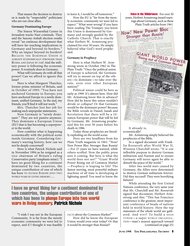That means the decision to destroy us is made by "respectable" politicians who are our close allies.

#### **Germany Dominating Europe**

The Simon Wiesenthal Center in Jerusalem tracks Nazi criminals. They said the Saxony-Anhalt election results reveal "an ominous development that will have far-reaching implications in Germany and beyond its borders." Why an impact beyond its borders? BECAUSE THE EUROPEAN UNION IS ALREADY ECONOMICALLY STRONGER THAN RUSSIA AND JAPAN BY FAR! And the military power is following the economic power. It routinely does in Germany.

What will Germany do with all that power? Can we afford to ignore this issue?

Here is what Margaret Thatcher, former prime minister of Britain, said in October of 1995: "You have not anchored Germany to Europe; you have anchored Europe to a newly dominant, unified Germany. In the end, my friends, you'll find it will not work."

Mrs. Thatcher lost her job for making such unpopular statements.

Now Germany is "newly dominant." They are not passive anymore. They dominate a European Union (EU) that is fast becoming a superpower in the world.

Now combine what is happening economically with the political scene inside Germany. Considering Germany's warring history, how can we not be deeply concerned?

Here is what Patrick Nichols said in November 1994 as he resigned as a vice chairman of Britain's ruling Conservative party (emphasis mine): "I have no great liking for a continent dominated by two countries, the unique contribution of one of which has been TO PLUNGE EUROPE INTO TWO WORLD WARS IN LIVING MEMORY….

to leave it, I would be off tomorrow."

Now the EU is "far from the merely economic community we were led to expect." What went wrong? If you have been reading The Trumpet, you know this Union is domineered by Germany and strongly guided by the Catholic Church. That is exactly what Herbert W. Armstrong proclaimed for over 50 years. He simply believed what God's word prophesied.

#### **Germany in Prophecy**

Here is what Herbert W. Armstrong wrote in October 1962 in The Plain Truth: "Once the political union of Europe is achieved, the Germans will try to mount on top of the others—to dominate—to take over the rule, even over other European nations!"

Political union could be here as early as 1999. It's almost here. How did Mr. Armstrong know this in advance? How did he know this union wouldn't divide or collapse? Or that Germany would be the dominant power? Because the Bible reveals in Daniel, Isaiah and Revelation that there will be a 10 nation European power that will be led by Germany. Mr. Armstrong prophesied this for over 50 years before his death in 1986.

Today those prophecies are literally exploding on the world scene.

Here are two headlines from his Plain Truth magazine in 1961: "Now! New Power Bloc Stronger than Russia! —For 27 years we have warned, while others scoffed. Now the public press sees it coming. But here is what the world does not see!" "Giant World Power Rising out of Common Market —Prophecy is leaping to life! The fastest moving, most powerful military machine of all time is developing at lightning speed! You need to know the

#### I have no great liking for a continent dominated by two countries, the unique contribution of one of which has been to plunge Europe into two world wars in living memory. Patrick Nichols

"I wish I was not in the European Community. It is far from the merely economic community we were led to expect, and if I thought it was feasible

FACTS about the Common Market!"

How did he know the European Union would even exist today? Or that it would be stronger than Russia?!



It already is, economically!

Mr. Armstrong simply believed the prophecies of the Bible.

In a signed document with Franklin Roosevelt after World War II, Winston Churchill wrote, "It is our inflexible purpose to destroy German militarism and Nazism and to ensure Germany will never again be able to disturb the peace of the world."

After two world wars caused by Germany, the Allies were determined to destroy German militarism forever. Did they succeed? They were horrifying failures!

While attending the first United Nations conference, the very same year that Mr. Churchill and Mr. Roosevelt signed that document, Herbert Armstrong said this: "This San Francisco conference is the greatest, most important conference of heads of nations held in world history. Here the top statesmen of the whole world are gathered. And WHY? To build a HIGH TOWER—a super WORLD ORGANIZA-TION—man's nearest approach toward (continued on page 25)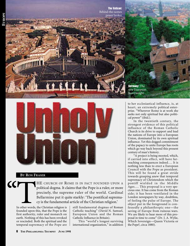The Vatican: Behind-the-scenes power broker



**Germany: The** new European heavyweight



#### **BY RON FRASER**

THE CHURCH OF ROME IS IN FACT FOUNDED UPON A<br>political dogma. It claims that the Pope is a ruler, or more<br>precisely, the supreme ruler of the world. Cardinal<br>Bellarmine put it quite starkly: 'The pontifical suprema-<br>cy is political dogma. It claims that the Pope is a ruler, or more precisely, the supreme ruler of the world. Cardinal Bellarmine put it quite starkly: 'The pontifical supremacy is the fundamental article of the Christian religion.'

In other words, the Christian religion is founded upon this, that the Pope is the first authority, ruler and monarch on earth. Nothing of this has been revoked or rescinded. Both the spiritual and the temporal supremacy of the Pope are

still fundamental dogmas of Roman Catholic teaching" (David N. Samuel, European Union and the Roman Catholic Influence in Britain).

This "world's longest surviving international organization," in addition to her ecclesiastical influence, is, at heart, an extremely political enterprise. "Wherever Rome is at work she seeks not only spiritual but also political power" (ibid.).

In the twentieth century, the strongest evidence of this political influence of the Roman Catholic Church is its drive to support and lead the nations of Europe into a European Union, dominated by its own spiritual influence. Yet this dogged commitment of the papacy to unite Europe has roots which go way back beyond this present century of man's history.

"A project is being mooted, which, if carried into effect, will have farreaching consequences indeed…. It is nothing less than to erect a European Council with the Pope as president. This will be found a great stride towards grasping anew that temporal supremacy of Christendom which the pontiff wielded in the Middle Ages…. This proposal is a very specious one. It has come from the Roman side; it has been ventilated in the London newspapers by way, doubtless, of feeling the pulse of Europe. The object put in the foreground is confessedly a philanthropic one—the saving of Europe from ruinous wars. We are likely to hear more of this proposal in time to come" (Dr. J. A. Wylie, Which Sovereign—Queen Victoria or the Pope?, circa 1880).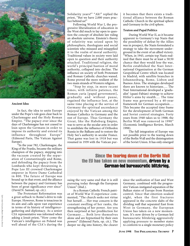

#### **Ancient Idea**

In fact, the idea to unite Europe under the Pope's rule goes clear back to Charlemagne and the Holy Roman Empire. "The papacy ever since the days of Charlemagne has not ceased to lean upon the Germans in order to impose its authority and extend its influence throughout Europe" (Edmond Paris, The Vatican Against Europe).

"In the year 782, Charlemagne, the King of the Franks, became the military champion of the papacy, stepping into the vacuum created by the separation of Constantinople and Rome, and defending the papacy from the Lombards who kept threatening it. Pope Leo III crowned Charlemagne emperor in Notre Dame Cathedral in 800. The future of Europe was bound up in that event, and the alliance between the papacy and Germany has been of great significance ever since" (David N. Samuel, op. cit.).

The Protestant Reformation was a great setback to Rome's drive to rule Europe. However, Rome is tenacious in its aim and calls upon vast experience in terms of its history of intelligencegathering and diplomacy. As a senior CIA representative was informed when asking a Jesuit priest, "How come the Vatican's intelligence on Poland was well ahead of the CIA's during the Solidarity years?" "Ah!" replied the priest, "But we have 2,000 years practice behind us!"

Following World War I, the progressive liberalization of education in the West did much to lay open to question the concept of absolute law ruling an absolute universe. Einstein's theory of relativity was seized upon by philosophers, theologians and social scientists who misused and misapplied it to the realm of moral authority. Traditional values in society were laid open to question and their authority attacked. Traditional religion, the world's principal bastion of moral authority, collapsed into decline. The influence on society of both Protestant and Roman Catholic churches waned. Rome proved the more resilient of the two main strands of Western religion.

"Step by step, in more recent times, with infinite patience, the Roman curia [papal government], gradually and without pause, regained the influence lost, at the same time placing at the service of Germany the spiritual ascendancy enjoyed by the Vatican among the Roman Catholics in Germany and the rest of Europe. Thus Germany the Great, like the Habsburg Empire, was to serve as the secular arm in order to annihilate the influence of Orthodox Russia in the Balkans and to restore the Holy See's authority in secular France. That game was lost in 1918 but was resumed in 1939 with the Vatican purit becomes that there exists a traditional alliance between the Roman Catholic Church in the spiritual sphere and Germany in the civil sphere.

#### **Teuton and Papal Politics**

During World War II, as it became apparent to Germany's top Nazis that the possibility of defeat by the Allies was in prospect, the Nazis formulated a strategy to take the movement underground in the event of an allied victory. "When, in 1943, certain top Nazis realized that there must be at least a 50:50 chance that they would lose the war, Berlin established the Nazi International Organization at the German Geopolitical Centre which was located in Madrid, with satellite branches in Johannesburg, Rome, Lisbon and Buenos Aires. The strategies developed there are known to historians…. The Nazi International developed a 'gradualist' (quasi-Fabian) strategy to achieve Hitler's aims by stealth…. The time frame was governed by a 40-year framework for German occupation…. This became the accepted time frame for the development of both German and Soviet control strategies. Forty years from 1948 takes us to 1988; the Berlin Wall was removed in 1990" (Economic Intelligence Review, March 1998).

The full integration of Europe was not possible prior to the tearing down of the Berlin Wall and the disintegration of the Soviet Union. It has only emerged

#### Since the tearing down of the Berlin Wall the EU has taken on new momentum, driven by a German-led bureaucratic blitzkrieg.

suing the very same end that it is still pursuing today through the European Union" (ibid.).

As a Roman Catholic French patriot of World War II experience commented, "The church seeks not virtue but herself…. Her true concern is the constant swelling of her ranks, the strengthening of her power. Are you then surprised at her predilection for Germany…. Both love themselves alone and are hypnotized by their own powers" (Edmond Paris, op. cit.). The deeper we dig into history, the clearer since the unification of East and West Germany, combined with the progressive Vatican-instigated separation of the Balkan states of Europe from Russian control. Since that emotion-soaked night, when the first fractures appeared in the concrete slabs of the dividing wall that separated East from West in Germany, the European Union has taken on a new momentum. It's now driven by a German-led bureaucratic blitzkrieg aggressively applying pressure to member states to conform to a single monetary policy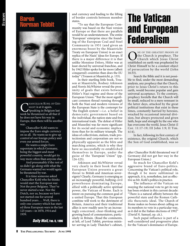## Baron Norman Tebbit



MANCELLOR KOHL OF GER-<br>MANY is at it again.<br>Speaking in Belgium last<br>week he threatened us all that if MANY is at it again. week he threatened us all that if he does not have his way in Europe, then there will be another war.

Chancellor Kohl wants to impose the Euro single currency on us all. He wants us to give up control of our foreign policy and even our armed forces.

He wants a single Euro superstate in which Germany, being the biggest and most powerful country, would get its way more often than anyone else.

And presumably if the rest of us didn't go along with what the Germans wanted we would again be threatened by war.

It is time someone asked Chancellor Kohl who he thinks would start the European war. Not the poor Belgians. They've never started a war. Nor the Dutch, nor us, because we have not started one for several hundred years…. Well, there is only one country which has started three European wars in the last 125 years—in 1870, 1914 and 1939.

*Daily Mail*, Feb. 8, 1996

and currency and leading to the lifting of border controls between member states.

"To say that the European Community was based on the Nazi version of Europe or that there are parallels would be an understatement. The entire 'European' enterprise since the founding of the European Coal and Steel Community in 1951 (and given an enormous boost by the Maastricht Treaty on European Union) is an exact replica of the Nazis' ideas for Europe. If there is a major difference it is that unlike Monsieur Delors, Hitler was at least elected by universal franchise, and by 1942 Hitler spoke for far more (albeit conquered) countries than does the EU today" (Treason at Maastricht, p. 133).

In their startling little book, Treason at Maastricht, Rodney Atkinson and Norris McWhirter reveal the proximity of goals that exists between Hitler's Nazi regime and those of the European Union: "But the most significant common thread running through both the Nazi and modern versions of the European State is the contempt for 'the English system'—i.e. a belief in democratic government based on the individual, the nation state and free international trade. The defeat of Hitler and Mussolini was far more significant for its social and economic implications than for its military triumph. The ideas of collectivism, statism, trade protectionism and corporatism are not so physically apparent as the blitz and marching armies, which is why they have so successfully re-established themselves in Europe, under the guise of the 'European' Union" (pp. 124-125).

Atkinson and McWhirter reveal very clearly in their book that the European Union presents a great threat to British and American sovereignty! Clearly, Germany is emerging as an increasingly powerful, bullying civil powerhouse dominating Europe, allied with a politically active spiritual power, the Vatican of Rome. Each is intent on pursuing the common goal of a united Europe. That this European combine will work to the detriment of Britain, America and their traditional allies is now readily seen by an increasingly concerned, clear-thinking and growing band of commentators, particularly in Britain. (Read the comments, at left, of Lord Tebbit, previous minister serving in Lady Thatcher's cabinet,

## The Vatican and European Federalism

NE OF THE GREATEST PROOFS OF<br>the Church is prophecy. The<br>established on earth was prophesied by the Church is prophecy. The Church which Jesus Christ established on earth was prophesied by Christ Himself to be a constant object of persecution by the world (John 16:33).

Search the Bible and it is not possible to find, under the most demanding analysis, any prophecy that the Church, prior to Jesus Christ's return to this earth, would become popular and gain universal acceptance. To the contrary, prophecy foretells that the Church will be small, reduced to a mere remnant in the latter days, attacked by the great political institutions that exist in these times, constantly harried by heresies, wracked by occasional internal division, but always protected and given faith, hope and strength by the one who has overcome the world, Jesus Christ (I Cor. 11:17-19; III John 1:9; II Tim. 4:14).

In fact, following its first century of existence, the original Church, which the Son of God established, was so

after Chancellor Kohl threatened war if Germany did not get her way in the European Union.)

So much for Chancellor Kohl's aggressive brand of Euro-politics. Concerning the Vatican's political role, though it be more subliminal in approach, it is, nonetheless, just as effective as Mr. Kohl's politics in practice.

The influence of the Vatican on swaying the national vote to get its way has been evident in this current decade: "There is a natural affinity between the powerful state and the Roman Catholic theocratic ideal. The Church of Rome makes no bones about calling on its members to vote in a particular way, as it did in the Italian elections of 1992" (David N. Samuel, op. cit.).

Such papal influence is part of a well-considered and progressive plan for the Vatican's dominance of Europe.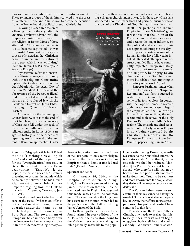harassed and persecuted that it broke up into fragments. These remnant groups of the faithful scattered into the areas of Western Europe and Asia Minor to escape persecution from the Roman brand of political pseudo-Christianity.

Following his declared vision of a flaming cross in the sky (after his victorious military adventures), the Emperor Constantine converted to the religion of Rome. Most of those attracted to Christianity subsequently also became captivated. "It was not until Constantine began a process of syncretism that Christians began to understand the nature of the beast which was evolving" (Adrian Hilton, The Principality and Power of Europe).

"Syncretism" refers to Constantine's efforts to merge Christianity with other religions. Constantine replaced the God-ordained seventhday Sabbath with the pagan Day of the Sun (Sunday). He declared the observance of the Passover illegal under threat of death to its practitioners and replaced it with the Babylonian festival of Queen Ishtar, the pagan Queen of Heaven (Easter).

As it was from the beginning of Church history, so it is at the end of this Church age. Just as the majority of Christians fell under the spell of the universal influence of the new religious entity in Rome 1900 years ago, so history is in the process of repeating itself as the end of the current millennium approaches. Under

A Sunday Telegraph article in 1991 had the title "Hatching a New Popish Plot" and spoke of the Pope's plans for the "evangelization" not only of Great Britain but the whole European continent. "Karol Wojtyla [the Pope]," the article goes on, "is calmly preparing to assume the mantle which he solemnly believes to be his Divine Right—that of new Holy Roman Emperor, reigning from the Urals to the Atlantic" (Sunday Telegraph, July 21, 1991).

David Samuel goes to the heart and core of the issue: "What is on offer is not federalism at all, though it masquerades under that name, but an unelected politico-bureaucracy or Euro-Fascism. The government of Europe will be an unelected body, with the European Parliament simply to give it an air of democratic legitimacy….



Present indications are that the future of the European Union is more likely to resemble the Habsburg or Ottoman Empires than a democratic federal state" (David N. Samuel, op. cit.).

#### **Spiritual Influence**

On January 16, 1604, at the Hampton Court Conference in England, John Rainolds presented to King James I the motion that the Bible be translated into the English language and thus made accessible to the common man. The very next day the king gave his assent to the motion, which led to the publication of the Authorized King James Version of the Bible.

In their Epistle dedicatory, to be found printed in every edition of the AKJV since, the translators point to the Vatican's resistance to making the Bible generally accessible to the popu-

Constantine there was one empire under one emperor, heading a singular church under one god. In those days Christians wondered about whether they had perhaps misunderstood the idea of the Kingdom of God. Perhaps it was the church

itself? Or perhaps the Roman Empire in its new "Christian" guise. It was thus that the union of the Roman church and state was sealed and became the major influence on the political and socio-economic development of Europe to this day.

Repeated efforts at revival of the Roman Empire have followed its initial fall. Repeated attempts to reconstruct a unified Europe have continually impacted European history. "The vision of one empire under one emperor, belonging to one church under one God, has caused more bloodshed than anything in the history of the world" (ibid.).

Emperor Justinian, under what is now known as the "Imperial Restoration," was first to succeed in restoring the Roman Empire to some of its former glory. In concert with the Pope of Rome, he restored both the eastern and western legs of the empirical edifice. Following a further four resurrections, the most recent and sixth revival of the Holy Roman Empire was Hitler's Nazi regime. The seventh and final resurrection of the Holy Roman Empire is now being cemented by the Christian Democrats in the European Union and Pope John Paul II's papacy. Englishman Adrian

lace. Anticipating Roman Catholic resistance to their published efforts, the translators state: "…So that if, on the one side, we shall be traduced [slandered] by Popish Persons at home or abroad, who therefore will malign us, because we are poor instruments to make God's holy Truth to be yet more and more known unto the people, whom they desire still to keep in ignorance and darkness."

The Vatican fathers were not successful in their resistance to having the word of God made available to the public. However, their efforts to use episcopal power for political control have continued to this day.

To understand the Roman Catholic Church, one needs to realize that historically it has, from its earliest beginnings, been both a religious and a political body. "Wherever Rome is at work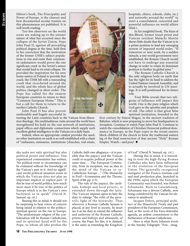Hilton's book, The Principality and Power of Europe, is the clearest and best documented secular treatise on this phenomenon yet published. It is well worth reading.

Too few observers on the world scene are waking up to the sinister nature of what has occurred since the collapse of the Soviet Union. Pope John Paul II, against all prevailing political dogma at the time, held firm to his conviction that the motivation of the former USSR's subject populations to rise and resist their communist taskmasters would prove the one significant crack in the Soviet's armor that would lead to its total collapse. He provided the inspiration for his own home nation of Poland to provide that crack; the USSR fell with a resounding crash that ricocheted around the world, and the whole face of global politics changed in short order. The Pope has called for the eastern European countries to return to their "Common European Home." This is but a call for them to return to the mother Catholic Church.

John Paul II has also proven undeniably and hugely successful in

turning the Latin countries back to the Vatican from liberation theology. His multitudinous visits around the world have strengthened his hold on the vast network of institutions, papal offices and diplomatic connections which supply such excellent global intelligence to the Vatican on a daily basis.

Indeed, when an appropriate catalyst provides the need, no other institution on earth is so well established with a chain of "embassies, emissaries, institutions [churches, real estate,



hospitals, clinics, schools, clubs, etc.] and networks around the world" to exert a consolidated, concerted and powerful influence on world affairs (ibid.).

In his insightful book, The Keys of this Blood, former Jesuit priest and Vatican resident Malachi Martin shows little doubt that the Vatican is in a prime position to lead any emerging system of imposed world order. "If tomorrow or next week, by a sudden miracle, a one-world government were established, the Roman Church would not have to undergo any essential change in order to retain its dominant position to further its global aims."

The Roman Catholic Church is the only religious body on earth that has the right for its head to address the United Nations General Assembly, and to actually be involved in UN meetings. It is well positioned for its future role.

Your Bible reveals that two religions of influence will impact this world. One is the pure religion which God gave to the apostles and prophets of old. The other is that great false spiritual institution, founded in the

first century by Simon Magus, in the ancient tradition of Babylon, which is now preparing to move her headquarters to Jerusalem. Continue to watch Pope John Paul II. Continue to watch the consolidation of Christian Democrat political dominance in Europe, as the Pope ropes in the errant eastern block children of the church to form the traditional eastern leg of the final resurrection of that ancient "Holy" Roman Empire. Watch—and pray! ◆

she seeks not only spiritual but also political power and influence. One experienced commentator has written, 'No political event or circumstance can be evaluated without the knowledge of the Vatican's part in it. And no significant world political situation exists in which the Vatican does not play an important implicit or explicit part.' If this be true of world politics, how much more must it be true of the politics of Europe which is in the Vatican's own backyard, so to speak" (David N. Samuel, op. cit.).

Bearing this in mind, it should not be surprising to hear voices of concern being raised in relation to the politicospiritual specter on the rise in Europe. "The predominant religion of the confederation will be Roman Catholicism, and its spiritual head will be the Pope, to whom all who profess the

Catholic faith owe allegiance—it is possible that the papacy and the Vatican could re-acquire political power at the same time…. The European Community, from its inception, was an idea in the mind of the Vatican to re-Catholicize Europe…" (The Monarchy in Peril—Ecumenism and the Throne, Spirit of 88, pp. 4-5).

The rule of the papacy, the cardinals, bishops and local priests, is extended down through the laity. The Vatican imposes upon its laity the duty to enlarge "the orbit of the apostolic light of the hierarchy. Thus wherever a Roman Catholic layman is placed, at any level in society, he must see it as his duty to extend the influence and authority of the Roman Catholic priests and bishops and ultimately, of course, the Pope, for this, it is claimed, is the same as extending the Kingdom of God" (David N. Samuel, op. cit.).

Having this in mind, it is interesting to note the high-flying Roman Catholics who have been influential in the evolution of the European Union. The generally recognized instigator of the Franco-German coal and steel production plan, launched in the 1950s, upon which the European Community was founded, was Robert Schumann. Born in Luxembourg, Schumann was a devout Catholic, now being considered by the Vatican for elevation to sainthood.

Jacques Delors, principal architect of the Maastricht Treaty and past president of the European Commission, had, at the roots of his Euro-federalist agenda, an ardent commitment to the furtherance of Roman Catholicism.

Here is what Boris Johnson wrote in the Sunday Telegraph: "Few…imag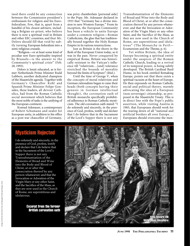ined there could be any connection between the Commission president's enthusiasm for religion and his Eurofederalism. Few, that is, apart from a handful of his closest advisers, including a Belgian ex-priest, who believe there is now a spiritual void in Britain and other EEC countries; and that Mr. Delors should fill that void by subtly turning European federalism into a semi-religious crusade.

"Religion—or at least some kind of peculiar new Euro-spirituality inspired by Brussels—is the answer to the Community's spiritual crisis" (Feb. 28, 1993).

Delors is Jesuit educated, as is former Netherlands Prime Minister Rudd Lubbers, another dedicated champion of the Maastricht agenda. Together with Germany's Chancellor Kohl and Spanish Prime Minister Felipe Gonzales, these leaders, all devout Catholics, hail from the Roman Catholic social movement which believes that the most noble of tasks is the unifying of the European continent.

Konrad Adenauer, a contemporary of Robert Schumann and zealot for European unity, in addition to his office as a post-war chancellor of Germany, was privy chamberlain [personal aide] to the Pope. Mr. Adenauer declared in 1953 that "Germany has a divine mission to save Western Europe." From its inception, the European Community has been a vehicle to unite Europe under a common religion—Roman Catholicism, the glue that has traditionally bound together the Holy Roman Empire in its various resurrections.

Just as Britain is the thorn in the flesh of the European Union today, so it was in the past. Never conquered by empirical Rome, Britain was historically resistant to the Vatican's influence till "relativism…[and] tolerance stretched the bounds of morality beyond the limits of Scripture" (ibid.).

Until the time of George V, when the concepts of moral relativism and German rationalism began to raise their heads (both concepts having their genesis in German intellectual thought), the coronation oath of British monarchs specifically prohibited adherence to Roman Catholic mysticism. The old coronation oath stated: "I do solemnly and sincerely, in the presence of God, profess, testify and declare that I do believe that in the Sacrament of the Lord's Supper there is not any Transubstantiation of the Elements of Bread and Wine into the Body and Blood of Christ, at or after the consecration thereof by any person whatsoever; and that the Invocation or Adoration of the Virgin Mary or any other Saint, and the Sacrifice of the Mass, as they are now used in the Church of Rome, are superstitious and idolatrous" (The Monarchy in Peril— Ecumenism and the Throne, p. 6).

Yet within Britain, the idea of Europe becoming a spiritual entity under the auspices of the Roman Catholic Church, leading to a revival of its temporal power, is being subtly developed. The British Cardinal Basil Hume, in his book entitled Remaking Europe, points out that there exists a spiritual vacuum at the heart of Europe. He then expounds on Roman Catholic social and political theory, warmly advocating the idea of a European (non-sovereign) citizenship, as proposed in the Maastricht Treaty. This is in direct line with the Pope's public assertion, while visiting Austria in 1983, that Europeans should work for the tearing down of all "national and artificial borders all over Europe…. Europeans should overcome the men-

#### Mysticism Rejected

I do solemnly and sincerely, in the presence of God, profess, testify and declare that I do believe that in the Sacrament of the Lord's Supper there is not any Transubstantiation of the Elements of Bread and Wine into the Body and Blood of Christ, at or after the consecration thereof by any person whatsoever; and that the Invocation or Adoration of the Virgin Mary or any other Saint, and the Sacrifice of the Mass, as they are now used in the Church of Rome, are superstitious and idolatrous.

#### Excerpt from the former British coronation oath

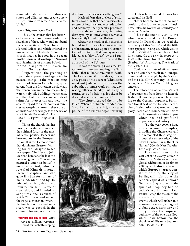acing international confrontations of states and alliances and create a new United Europe from the Atlantic to the Urals."

#### **Pagan Origins—Pagan Mark**

This is the church that has historically overseen and commanded the slaughter of those who would not bend the knee to its will. The church that silenced Galileo and which ordered the assassination of Elizabeth Tudor. It is a church that has its roots in the pagan mother-son relationship of Nimrod and Semiramis of ancient Babylon rooted in superstition, mysticism and anti-God paganism.

"Superstition, the granting of supernatural powers and agencies to natural things, is the most striking feature of Roman Catholicism, quite absent from the Protestant world view. The veneration granted to images, holy water, holy oil, buildings, vestments, and the Host; the place given to dead saints for intercession and help; the absurd regard for such pointless miracles as weeping statues—these are as animistic, and as savage, as the beliefs of

any illiterate Polynesian" (The Herald [Glasgow], August 26, 1995).

This is the church that has raised, educated and molded the spiritual focus of the most influential political leaders and bureaucrats in the European Union. It is this Catholic mind that dominates Brussels! Writing for the Glasgow-based newspaper, The Herald, John Macleod bemoans the loss of a purer religion that "has supernatural elements: belief in an unseen God, who has revealed Himself through inerrant Scripture, and who gave His Son for sinners of mankind, identified by His miraculous birth, death, and resurrection. But it is free of superstition, and founded on Scripture alone; a church of which Christ was head and not the Pope, a church in which… the function of ordained ministers was to preach in the common tongue, not to con-

Enforcing the 'Day of Rest': After A.D. 363, millions were martyred for Sabbath-keeping.

duct bizarre rituals in a dead language."

Macleod fears that the loss of scriptural knowledge that once underwrote a system of law, jurisprudence, education and economy, that generally produced a more decent society, is being destroyed by an unwelcome alternative being subtly forced upon Britain.

Already the mark of this church is bound in European law, awaiting its enforcement. It was upon a German-Catholic initiative that Sunday was legislated as a "day of rest" by the Brussels bureaucrats, and received the approval of the EU states.

"It was for obeying God's FOURTH Commandment—keeping the Sabbath—that millions were put to death. The local Council of Laodicea, in A.D. 363, passed this decree: 'Christians must not Judaize by resting on the Sabbath, but must work on that day, resting rather on Sunday. But, if any be found to be Judaizing, let them be declared anathema from Christ.'

"The church caused them to be killed. When the church branded one 'anathema' [a heretic], the state police of the Empire began torturing



him. Unless he recanted, he was tortured until he died!

"Laws became so strict no man could hold a job, or engage in business, unless he worked on Saturday and rested on Sunday.

"This is the ONLY COMMANDMENT which was altered by the Roman Empire! In Daniel 7:25 we read the prophecy of this 'BEAST' and the little horn (papacy) rising up, which was to think to CHANGE 'times and laws.' That is, change God's LAW in respect to TIME—the time for the Sabbath!" (Herbert W. Armstrong, The Mark of the Beast, p. 13).

Could such a state of affairs resurrect and establish itself in a Europe, dominated increasingly by the Vatican and its old ally Germany, in these "enlightened" times? Your Bible guarantees it.

The relocation of Germany's seat of government from Bonn to historic Berlin will have deeply symbolic meaning to the German populace. Berlin, traditional seat of the Kaisers. Berlin, city of celebration of Germany's past glory. Berlin and Rome, ancient cities

each possessing a historic past which has had profound impact on world history.

"By the year 2000, a huge new government complex, including the Chancellery and the remodeled Reichstag, will occupy the eastern edge of the city's Central park, the Tier Garten" (Condé Nast Traveler, February 1998, p.102).

The countdown to the year 2,000 ticks away, a year in which the Vatican will lead global celebration of its almost 2000-year history, a year in which Europe's largest construction site, the city of Berlin, will light up as the reborn capital of a reborn Germany. Stay attuned to the spirit of prophecy behind today's world news (Rev. 19:10). Grasp the vision of the meaning of the climactic events which will usher in a genuine new age; an age of global peace, harmony and unity under the supreme authority of the one true God, which He will bestow upon the shoulder of His only begotten Son (Isa. 9:6-7). ◆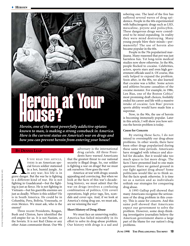# at Your

*Heroin, one of the most powerfully addictive opiates known to man, is making a strong comeback in America. Here is the current status on America's war on drugs and how you can prevent heroin from entering your house!* 

#### **BY DENNIS LEAP**

S YOU READ THIS ARTICLE,<br>
THERE is an American spe-<br>
cial forces soldier stationed<br>
in a hot, humid jungle. As<br>
grave danger. But the war he is fighting THERE is an American special forces soldier stationed in a hot, humid jungle. As in any war, his life is in is a different kind of war. He is not fighting in Guadalcanal—but the fighting is just as fierce. He is not fighting in Vietnam—but his guerrilla enemies are just as deadly. Where is this soldier? He is in South America. He could be in Columbia, Peru, Bolivia, Venezuela, or even Mexico. We must ask, who is the enemy?

Three recent Presidents, Reagan, Bush and Clinton, have identified the evil empire for us. It is not Nazism, or the Soviets. It is not Red China or any other Asian communist threat. Our 90s adversary is the international drug cartels. All three Presi-

dents have warned Americans that the greatest threat to our national security is illegal drugs. So, our soldier is fighting a war on drugs! But we must ask ourselves: How goes the war?

America: at war with drugs; sounds appealing and convincing. But when we look at the facts of this war's decadelong history, we must admit that the war on drugs involves a confusing combination of politics, CIA covert operations, high price tags, lies, scandals and cover-ups. And, if we look at America's rising drug use, we must ask, are we winning the war?

#### **Short History of Drug Abuse**

We must face an unnerving reality. America has failed miserably in its effort to solve its drug-abuse problem. Our history with drugs is a sad and

sobering one. The land of the free has suffered several waves of drug epidemics. People in the 60s experimented with hallucinogenic drugs such as LSD, mescaline, peyote and psilocybin. These dangerous drugs were considered to be mind expanding. In reality they were mind destroying. Many young people blew their minds—permanently! The use of heroin also became popular in the 60s.

People in the 70s popularized marijuana. Many reasoned that pot was just harmless fun. Yet long-term medical studies now show otherwise. In the 80s, people flocked to cocaine. Celebrities, actors, sports stars and even high government officials used it. Of course, this only helped to expand the problem. Soon after, in the 80s, we also learned that cocaine was a killer. Some actors and athletes became casualties of the cocaine monster. For example, in 1986, Len Bias, one of the Boston Celtics' most promising draft choices, foolishly ended his career and life with a massive intake of cocaine. Len Bias' proven sports ability would have made him a superstar.

Now, in the 90s, the use of heroin is becoming immensely popular. Later in this article, I will show you how serious the heroin problem is today.

#### **Cause for Concern**

By stating these facts, I do not intend to oversimplify our drug-abuse problems. In other words, there have been other drugs popularized during these same time periods. Americans have struggled with tobacco and alcohol for decades. But it would take too much space to list more drugs. The facts I have presented lead to one main question: Have we gained ground in our fight against drug abuse? Some politicians would like us to think so. But the facts speak otherwise. It is time we as a nation and as individuals rethink our strategies for conquering drug abuse.

A 1995 Gallup poll showed that many Americans recognize the seriousness of the drug problem in this country. This is cause for concern. And this same poll showed that Americans expect our government to solve the problem. However, some deep-thinking investigative journalists believe the American government shares a large part of the blame for our nation's drug problems.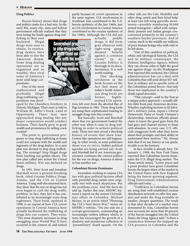#### **Drug Politics**

Recent history shows that drugs and politics make for a bad mix. In the early 80s, many city, state and federal government officials realized that they were losing the battle against drug traf-

ficking in their own backyard. Illegal drugs were easy to obtain. In essence, drug dealers have been able to live the American dream. Some drug dealing operations are so organized and so wealthy, they rival some of America's most solid large corporations.

One of the most sophisticated and profitable illegal drug-trafficking corporations was devel-

oped by the Chambers brothers in Detroit, Michigan. Their story is told in William M. Adler's book, Land of Opportunity. These four men approached drug dealing like any major corporation would conduct business. Their family grew to great wealth and prominence by selling crack cocaine!

The point is, government programs to stop drug trafficking at home could not compete with the wealth and ingenuity of the drug dealers. So a new plan was devised to stop drug trafficking. The strategy? Stop illegal drugs from reaching our golden shores. The new plan called into action the United States military. War was declared on drugs.

In 1991, Peter Scott and Jonathan Marshall wrote a ground-breaking book, titled Cocaine Politics: Drugs, Armies, and the CIA in Central America. Using well-documented facts, they show that the war on drugs has not even begun to curb the drug-traffic problem. In fact, they feel it has contributed to an increasingly scary drug nightmare. Their book, updated in 1998, is an exposé of how CIA covert operations in Central America have actually facilitated the trafficking of drugs into our country. They write, "The most dramatic increases in drug smuggling since World War II have occurred in the context of, and indeed

partly because of, covert operations in the same regions. CIA involvement in Southeast Asia contributed to the U.S. heroin epidemic of the late 1960s, just as CIA involvement in Central America contributed to the cocaine epidemic of the 1980s. Although the CIA did not

Government programs Government programs to stop drug trafficking to stop drug trafficking at home could not com-at home could not compete with the wealth pete with the wealth and ingenuity of the and ingenuity of the drug dealers. drug dealers.

actually peddle drugs, it did form gray alliances with right-wing gangs deemed helpful against a common enemy" (p. 4). Cocaine Politics is thorough in its documentation. It is well

> worth reading. One shocking revelation in the book focuses on the fact that many of today's South American drug lords are former, highlytrained CIA opera-

tives left over from the aborted Bay of Pigs invasion in 1961. These drug lords are using their sophisticated training to smuggle drugs into this country.

But basically, Scott and Marshall show that our government looked the other way when it came to drug trafficking in order to achieve political ends. These two men reveal a shocking history of events that show Iran-Contra-like operations are still happening. In other words, as some politicians shout WAR ON DRUGS, hidden political agendas are being carried out. Scott and Marshall feel if our American government continues the current politics for the war on drugs, America is about to lose another war.

#### **Colombian Heroin Dominates**

Journalists working to expose CIA ties with gray political factions allied with powerful drug cartels were originally met with much skepticism. But the problems exist. And the facts do add up. Earlier this year, MSNBC featured a report on the newest CIA/military effort in Columbia. Michael Moran, in an article titled "Planning the CIA's Next Secret War," writes on MSNBC's website, "On one side sits a corrupt government, commanding an increasingly restless military which, in turn, has encouraged the growth of a shadowy and murderous collection of 'paramilitary' death squads. On the

other side are the Cali, Medellin and other drug cartels and their hired help: at least two left-wing guerrilla movements—possibly numbering 50,000 armed insurgents—allied with sympathetic peasant and Indian groups concentrated primarily in the country's southern border provinces. And of course, stuck in the middle are millions of poor human beings who wish only to be left alone.

"Out of this cauldron of political, ethnic and ideological hatreds, the CIA and its military counterpart, the Defense Intelligence Agency, believe they can choose sides to fight the good war against drugs. As the Washington Post reported this weekend, the Clinton administration has cut a deal with Columbia that will send about \$37 million in military aid to specific units of the Colombian armed forces—but only those not implicated in the country's death-squad atrocities.

"This concept—sold to the Post as a unique policy approach—actually differs little from past American doctrine. Whether exploiting factions in El Salvador's military junta, Japan's Liberal Democratic Party or South Vietnam's dictatorship, American officials always claim to know the good guys from the bad guys and channel money to them with abandon. In every case, U.S. officials exaggerate both what they know about their protégés, and their ability to understand their motives." Mr. Moran feels that if we use history as our guide, trouble is on the horizon.

In fact, trouble is already here. On January 1, 1998, the New York Times reported that Colombian heroin dominates the U.S. illegal drug market. The Times article stated, "Lower prices and a purer product have given Colombian heroin the largest share of the market in the United States with New England being the fastest-growing segment, Drug Enforcement Administration officials said today….

"Traffickers in Colombian heroin are using their well-established cocaine distribution networks to offer free samples and make the drug available in smaller, cheaper quantities. The result is that after decades of a market once dominated by Asia, Colombian heroin now accounts for more than 60 percent of the heroin smuggled into the United States, the Drug Agency said." Is there a connection between the stepped-up CIA presence in Colombia and the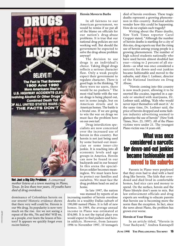

Not Just a Big City Problem: *A concerned mother listens at a town meeting in Plano, Texas. In less than two years, 10 youths have died of drug overdoses.*

dominance of Colombian heroin on our streets? Historic evidence shows that there very well could be. Heroin is our 90s drug. Its popularity is now very much on the rise. Are we not seeing a repeat of the 60s, 70s and 80s? Will we, as a people, ever learn the lesson of history? It appears we quickly forget even recent history.

#### **Heroin Moves to Burbs**

In all fairness to our American government, we would be remiss if we put all of the blame on officials for our nation's drug-abuse problems. It is true that our national drug policies are not working well. But should the government be expected to solve the drug-abuse problem anyway?

The decision to use drugs is an individual's choice. Taking illegal drugs reflects a serious character flaw. Only a weak people expect their government to regulate character. There is good logic in the thinking, "If there were no users, there would be no pushers." The most vital battle with the war on drugs is being played out, not in some jungle, but on American streets and in American homes. The battle is a brutal one. If we are going to win the war on drugs we must face the problem here on our own turf.

Drug interdiction specialists are now concerned over the increased use of heroin in this country. But heroin is not just being used by some burned-out musician or some inner-city junkie. It is reaching into all economic levels and age groups in America. Heroin can now be found in our backyards and in our houses! In this arena the specialforces soldier becomes meaningless. We must learn how to protect our families and ourselves. We must face the drug problem head on and at home.

In late 1997, the nation was stunned by reports of an

increasing number of heroin overdose deaths in a wealthy Dallas suburb of 190,000 named Plano. It is full of new homes. In 1989, the average annual income in Plano was estimated at \$54,000. It is not the typical place you would expect to find pushers and heroin addicts. However, from January 1996 to November 1997, 10 teenagers

died of heroin overdoses. These tragic deaths represent a growing phenomenon in this country. Rational adults wonder how this could be happening. How do we explain such tragedy?

Writing about the Plano deaths, New York Times reporter Carol Cropper stated, "Although the number of heroin deaths is startling for a city of this size, drug experts say that the rising use of heroin among young people is a growing phenomenon. The number of high school students nationally who have used heroin almost doubled last year—rising to 2 percent of all students—as what was once considered a narcotic for down-and-out junkies became fashionable and moved to the suburbs, said Alan I. Leshner, director of the National Institute on Drug Abuse.

"Heroin coming into this country is now much purer, allowing it to be snorted like cocaine, ingested in a capsule or smoked with marijuana, Dr. Leshner said, adding, 'Kids who would never inject themselves will snort it.' At the same time, Dr. Leshner said, the price of heroin dropped and some fashion industry advertising seemed to glamorize the use of heroin" (New York Times, Nov. 23, 1997). All of the Plano victims were under 21. The youngest Plano victim was 14 years old.

## What was once considered a narcotic for down-and-out junkies became fashionable and moved to the suburbs

Parents in Plano were perplexed that they even had to deal with a hard drug like heroin. The kids that overdosed and died lived in comfortable homes, had nice cars and money to spend. On the surface, heroin and the Plano lifestyle don't seem to mix. But law enforcement officials and drug experts are working to educate parents that heroin use is becoming more the norm than the exception. In fact, since the news about Plano, the problem has grown ever worse.

#### **Heroin at Your House**

In an article titled, "Heroin in Your Backyard," Andrea Kannapell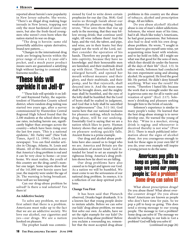reported about heroin's new popularity in New Jersey suburbs. She wrote, "There's an illegal drug making huge inroads in New Jersey, trapping not only the most hardened of inner-city users, but also the fresh-faced youngsters who weren't even born when the nation started its war on drugs.

"The drug is heroin: same old powerfully addictive opiate derivative, brand new pattern….

"Changes in the international drug trade are bringing heroin within the price range of even a 12-year-old's pocket, and a much purer product means users are guaranteed a satisfying high without having to contend with fearsome needles….

## "These kids will sprinkle it on Jell-O"

" 'These kids will sprinkle it on Jell-O!' said Raymond Farley, the superintendent of Hunterdon County school district, where random drug testing was started two years ago, after a survey commissioned by Hunterdon Central Regional High School found that the 2,100 students at the school show drug use rates, including heroin use, significantly higher than averages across the country—which have been rising over the last few years. 'This is a national epidemic,' Mr. Farley said" (New York Times, April 12, 1998). Check any newspaper. You can find similar articles in Chicago, Atlanta, St. Louis and Miami. All of this information shows that America's drug problem is real and it can be very close to home—at your home. We must realize, the youth of this country are the drug cartel's number one target. Some reports show that of the 141,000 new heroin users last year, the majority were under the age of 26. The warning is being broadcast. How well are we listening?

Can our drug-abuse problem be solved? Is there a real solution? Yes there is!

#### **An Addictive Society**

To solve any problem, we must first admit that there is a problem. Americans must wake up to the fact that we are an addictive society. We love our alcohol, our cigarettes and yes—our drugs. We are a nation hooked on pleasure.

The prophet Isaiah was commis-

sioned by God to write down certain prophecies for our day (Isa. 30:8). God warns us through Isaiah about our weakness for pleasure seeking. Isaiah wrote, "Woe unto them that rise up early in the morning, that they may follow strong drink; that continue until night, till wine inflame them! And the harp, and the viol, the tabret, and pipe, and wine, are in their feasts: but they regard not the work of the Lord, neither consider the operation of his hands. Therefore my people are gone into captivity, because they have no knowledge: and their honourable men are famished, and their multitude dried up with thirst. Therefore hell hath enlarged herself, and opened her mouth without measure: and their glory, and their multitude, and their pomp, and he that rejoiceth, shall descend into it. And the mean man shall be brought down, and the mighty man shall be humbled, and the eyes of the lofty shall be humbled: But the Lord of hosts shall be exalted in judgment, and God that is holy shall be sanctified in righteousness" (Isa. 5:11-16). God warns here that our national weakness for pleasure seeking, which includes drug abuse, will be our undoing. Essentially God is saying that we are a nation which likes to party. Human history shows that any nation glutted on pleasure seeking quickly falls. Ancient Rome is a prime example.

Our drug and alcohol abuse problems have also caused us to forget who we are. America and Britain are the descendants of ancient Israel. God intended for Israel to set an example for righteous living. America's drug problem shows how far short we are falling.

Our drug problems have also caused us to forget and ignore our God. As a nation we will be humbled. We must come to see the seriousness of our national drug problem. In essence, it is a reflection of our deep spiritual problems.

#### **Change You First**

It has been said that Plutarch observed, Drunks beget drunkards. It is a known fact that young people desire to imitate adults. Before we can solve our kids' drug-abuse problem, we must first solve our own. As adults, have we set the right example for our kids? Do you have a drug-abuse problem? Before you exclaim a resounding no, remember that the most accepted drug-abuse problems in this country are the abuse of tobacco, alcohol and prescription drugs. All are killers.

Do you abuse alcohol? Alcohol abuse is one of man's oldest addictions. Solomon, the wisest man of his time, had it all. Much like today's Americans, he had great possessions. But Solomon also had to deal with his own drugabuse problem. He wrote, "I sought in mine heart to give myself unto wine, yet acquainting mine heart with wisdom; and to lay hold on folly, till I might see what was that good for the sons of men, which they should do under the heaven all the days of their life" (Eccl. 1:3). In other words, Solomon had conducted his own experiment using and abusing alcohol. He acquired. He lived the good life. He partied. He didn't deny himself anything. What was the result? He wrote, "Therefore I hated life; because the work that is wrought under the sun is grievous unto me: for all is vanity and vexation of spirit" (Eccl. 2:17). Solomon's drinking and pleasure seeking brought him to the brink of suicide.

Solomon's experience is similar to many people's today. He learned that the best drug-abuse strategy is to never develop one. He warned the young of his day. "Wine is a mocker, strong drink is raging: and whosoever is deceived thereby is not wise" (Prov 20:1). There is much publicized information about the signs of alcohol abuse. Are you courageous enough to look for those signs in your own life? If you do, your own example will inspire a young person to do the same.

### Americans pop pills to keep us going. The message we send our young people is: Got a problem? Some drug can solve it!

What about prescription drugs? Do you abuse them? What about overthe-counter drugs? Do you abuse them? Americans are known as people who don't have time for pain. So we pop a pill to keep us going. This does send a strong message to our young people. The message is: Got a problem? Some drug can solve it! The message we should be sending to our kids is: Got a problem? God will help you solve it!

(continued on page 26)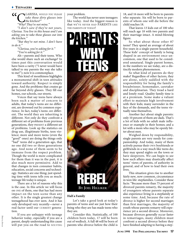$\mathcal{C}$   $\bigcap$  *LARISSA, WOULD YOU PLEASE take those dirty glasses into the kitchen?" "Why? They're not mine."*

*"I don't care if they're not yours, Clarissa. You live in this house and I am asking you to take those glasses out into the kitchen."*

*"But they're not mine. I don't have to do it."*

*"Clarissa, you're asking for it." "You're asking for it."*

Ah—parents and their teens. Who else would share such an exchange? In times past this conversation would have been a rarity ("I never would have talked to my parents the way she talks to me!"); now it is commonplace.

This kind of mouthiness highlights a monumental shift in teen attitudes toward authority. Respect is simply gone. And the problems that creates go far beyond dirty glasses. They fill our homes, our schools, our streets.

Voices that say teens have always been such a matter of concern to adults, that today's teens are no different, are drowned out by common experience. In fact, today's teens ARE different. The world they are inheriting is different. Not only do they confront a different set of problems from previous generations, they PRESENT a different set of problems. Look up the statistics on drug use, illegitimate births, teen violence; more and more teens (even the "good" ones) are doing the things only "bad" teens did a generation ago, that no one did two or three generations ago. And none of them seem to be immune from the respect problem. Though the world is more complicated for them than it was in the past, it is also much more permissive. Add to that changes in teen consumer habits, education, social concerns and technology. Statistics are one thing; just spending time with teens tells you as much: teenage life today is unique.

There are a lot of reasons why this is the case. In this article we will focus on ONE of them, one that has had more impact on the teen scene than any other. It is the single greatest change teenagehood has ever seen. And it has only developed very recently—never a real factor until our CURRENT generation.

If you are unhappy with teenage behavior today, especially if you are a parent, deeply understanding this cause will put you on the road to SOLVING

DIGITAL STOCK your problem.

The world has never seen teenagers like today. And the biggest reason is that WE'VE NEVER HAD PARENTS LIKE THE PARENTS OF TODAY!

PARENTS **BY JOEL HILLIKER** WHY TEENS REBEL

#### **Half a Family**

Let's take a good look at today's parents of teens and see just how their being who they are has made teens who they are.

Consider this. Statistically, of 100 children born today, 17 will be born out of wedlock. A full 48 will be born of parents who divorce before the child is

18, and 16 more will be born to parents who separate. Six will be born to parents of whom one will die before the child reaches 18.

That leaves 13 kids out of 100 who will reach age 18 with two parents and their marriage intact. A mind-blowing figure.

So what about those other 87 teens? They spend an average of about five years in a single-parent household. These kids' concept of family is being shaped in an environment once uncommon, one that used to be considered unnatural. Single-parent homes, in the numbers we see today, are a distinctly modern phenomenon.

So what kind of parents do they make? Regardless of other factors, they are alone, solely saddled with the responsibility for being the family's breadwinner, homemaker, caretaker and disciplinarian. They tread a hard and lonely road. Quality family time is at a premium. Some make a valiant effort to maintain high involvement with their kids; many surrender in the face of the demands, and the teens virtually raise themselves.

Another fact about single parents: only 10 percent of them are dads. That's a lot of kids with no adult male influence or example in their homes; and a lot with a mom who may be openly bitter about men.

Weighed down by responsibility, single parents are very needy for companionship. And today, many of them actively pursue their OWN boyfriends or girlfriends in a way much like teens do; they may spend nights on the town or have sleepovers. We can begin to see how such affairs may drastically affect teens' views of parents, of authority in general, and of how to lead their own lives.

This situation gives rise to another fairly new, now common, circumstance in teen life: stepfamilies. Consider these facts: "Because more than 75 percent of divorced parents remarry, the majority of youngsters whose parents separate also experience living in a stepfamily at some time. And, because the rate of divorce is higher for second marriages than first marriages, the majority of youth whose parents remarry will experience yet a second divorce. Moreover, because divorces generally occur faster in remarriages, many children must confront a second divorce before they have finished adapting to having a step-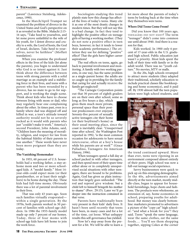parent" (Lawrence Steinberg, Adolescence, 1990).

In the March/April Trumpet we examined the problem of divorce in the United States and God's perspective on it as revealed in the Bible. Malachi 2:15- 16 says, "Take heed to yourselves, and let none prove unfaithful to the wife of his youth, for I detest divorce and cruelty to a wife, the Lord of hosts, the God of Israel, declares. Take heed to yourselves, never be faithless" (Moffatt translation).

When you examine the profound effects in the lives of the kids (let alone the parents), you begin to understand why God is so intent against it. Just think about the difference between teens with strong parents with a solid marriage as an example and a stabilizing force in their lives, and teens with a parent who has been wounded by a divorce, has no mate to go to for support, and is working the single scene. Think about kids who have to choose between living with mom or dad, who may regularly hear one complaining about the other. In times past, even in a family where dad was shipped off and killed in war, a teen's attitude toward authority would not be so severely rocked as it would with parents who just "couldn't make it work." America's second President, John Adams, said, "Children learn the meaning of morality, religion, and respect for law from the habitual fidelity of their parents to one another." These words have never been more poignant than they are today.

#### **The Vanishing Homemaker**

In 1955, 60 percent of U.S. households had a working father, a stay-athome mom and two or more schoolaged kids. A "model family." Most 14 year-olds could expect mom (or their grandmother, or at least their neighbors) to be home during the day. These kids had full-time moms. Obviously there was a lot of parental involvement in their lives.

That was only 43 years ago. Soon such families virtually evaporated within a single generation. By the 1970s, both parents worked in 50 percent of families with school-age children. In 1986 the 1955-family model made up only 7 percent of our homes. Today, three of four moms with school-age kids have left home to join the work force.

Sociologists studying this trend plainly state how this change has affected the lives of today's teens. Many cite it as one of the most drastic changes in modern times. But they will not say this is a bad change. In fact they tend to highlight the positive effect on teenage girls of having a working mother. (They do not note a positive effect in teen boys, however; in fact it tends to lower their academic performance.) The criterion they use for defining "positive" effect? That the girls have higher career aspirations!

The real effects on teens, again, go back to parental involvement and monitoring. A family with two working parents, in one way, has the same problem as a single-parent home: the adults are so caught up in providing for the family that caring for and actually REARING the family get neglected!

"The Carnegie Corporation points out that 30 percent of eighth graders are on their own after school, some as long as five hours a day, which gives them much more private, personal space than their postwar predecessors ever enjoyed. Seventy-five percent of sexually active teenagers cite their home (or their boyfriend's home) as their usual meeting place, since the coast is inevitably clear. 'Unsupervised time after school,' the Washington Post reported in 1992, 'is the most common occasion for adolescents to have sexual intercourse, often at a boy's house while his parents are at work'" (Grace Palladino, Teenagers: An American

History, 1996). When teenagers spend a full day at school packed in with other teenagers, and then spend most of their spare time either alone or in completely unsupervised social situations with other teenagers, there are bound to be problems. Again, God has given us plain instruction that largely goes unheeded: "The rod and reproof give wisdom: but a child left to himself bringeth his mother to shame" (Prov. 29:15). Later we'll go deeper into the instruction contained in that verse.

Parents have traditionally been very present in their kids' daily lives. It hasn't been until recently that teens have been, in many cases and for a lot of the time, cut loose. What unhappy results this self-governance has yielded.

Now let's step away from the present for a bit. We will be able to learn a lot more about the parents of today's teens by looking back at the time when they themselves were teens.

#### **Where Did Teens Come From?**

Did you know that 100 years ago, TEENAGERS DID NOT EXIST? The term "teenager" didn't come into common use until about 1940. And there is a reason for that.

Kids worked. In 1900 only 6 percent of 17-year-olds in the U.S. graduated high school. Public education just wasn't a priority. Most kids spent the bulk of their time with family or in the adult world. There was no "youth culture." No movies, MTV or malls.

In the 20s, high schools revamped to attract more students (they adapted their traditional, scholarly education to include practical classes like bookkeeping and home economics), and it paid off. By 1930 almost half the teen population were high school students, and



the trend continued upward. More than ever, teens were ripening in an environment composed almost entirely of their peers. High school was now a full-out teenage social experience.

Savvy businessmen were quick to pick up on this emerging demographic. In the 40s, advertisements aimed directly at the teen market, mostly middle-class, began to appear for household furnishings, hope chests and fashions. The products were wholesome, an extension of, say, home economics in school, preparing youths for adulthood. But money was clearly bottomline: marketers promoted to advertisers a picture of the "copy cat" high schooler: "and what a break for you"! they said. Teens "speak the same language, wear the same clothes, eat the same foods.… You'll see them shopping together, sipping Cokes at the corner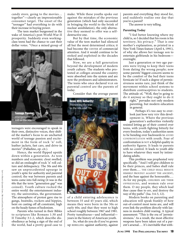candy store, going to the movies… together"—clearly an impressionable consumer target. The onset of the "teenager" had everything to do with their increase in buying power.

The teen market burgeoned in the wake of America's post-World-War-II prosperity. Suddenly even workingclass teens had the chance to cast their dollar votes. "Once a mixed group of



teenagers were encouraged to speak in their own, distinctive voices, they shifted the market's focus to an uncharted world of teenage passion and excitement in the form of rock 'n' roll, leather jackets, fast cars, and drive-in movies" (Palladino, op. cit.).

Hence, the world flipped upside down within a generation. As teen numbers and economic clout swelled, so did an onslaught of rock 'n' roll culture and delinquency. The 50s and 60s saw an unprecedented upsurge in youth's spite for authority and parental control; the war between parents and teens came into full swing (it was in the 60s that the term "generation gap" was coined). Youth culture rocked the entire world: the entertainment industry, the universities, the government. The atmosphere of protest gave rise to gangs, beatniks, rockers and hippies, bent on casting off all constraint, high on the heady fumes of hedonism.

Parents who turned in their Bibles to scriptures like Romans 1:30 and II Timothy 3:1-2, which describe disobedience as being a sign of the end of the world, had a pretty good case to

make. While these youths spoke out against the mistakes of the previous generation (which had only succeeded in bringing the world to the brink of nuclear annihilation), the only alternative they seemed to offer was a selfdestructive one.

But by that time, the economic value of the teen market had silenced all but the most determined critics; it had become the CENTER of commercial attention. And it would continue to be stoked and exploited in the decades that followed.

Now, we are a full generation beyond the development of modern youth culture. The students who protested at colleges around the country were absorbed into the system and are now the professors and administrators. The teens who once declared WAR on parental control are the parents of today.

Consider that: the average parent



of a child entering adolescence is between 35 and 45 years old, which means they were born in the 50s or early 60s; and that they went to high school roughly between 1967 and 1981. Pretty tumultuous—and influential years in the history of American youth.

So, what do you do if you've grown up REBELLING against authority, against

parents and everything they stood for, and suddenly realize one day that you're a parent?

The answer is very telling.

#### **Parenting Today**

"I feel better knowing where my child is, so I decided that his room is his territory, his privacy." That is one mother's explanation, as printed in a New York Times feature (April 4, 1991), of why she allows her teenage son to entertain girlfriends in his bedroom overnight.

Just a generation or two ago parents were trying to keep their teens from dating the wrong people; now some parents' biggest concern seems to be the comfort of the bed their teens fornicate in! If such a degree of permissiveness seems rare, just think of the movement within school systems to distribute contraceptives to students. The attitude of, "Well, they're going to do it anyway so they ought to do it

right," pervades not only modern parenting, but modern education in general.

Perhaps it's too easy to overlook just how very NEW this development is. Where the previous

generation's authorities violently resisted letting go of their control over teens, with youth fighting bitterly for every freedom, today's authorities seem to be bending over backwards to AVOID CONFRONTATION with youth. Fear of confrontation is NOT a helpful quality in authority figures. It leads to parents with no control. It leads to youth able to have whatever they want by intimidating adults.

This problem was prophesied very specifically. "And I will give children to be their princes, and babes shall rule over them.… THE CHILD SHALL BEHAVE HIMSELF PROUDLY AGAINST THE ANCIENT, and the base against the honourable.… As for my people, CHILDREN ARE THEIR OPPRESSORS, and women rule over them. O my people, they which lead thee cause thee to err, and destroy the way of thy paths" (Isa. 3:4-5, 12).

Modern books on parenting and education will speak frankly of how out-of-control most teens are, and will even link the problem directly with laxness in modern child rearing. A typical assessment: "This is the era of 'permissiveness.' As a result, the most effective weapons have been taken out of a parent's arsenal.… It's inevitable that with-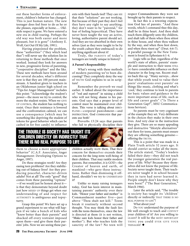out these harsher forms of enforcement, children's behavior has changed. This is just human nature. The new teenager does feel freer to do as he or she pleases, especially at home.… Oldstyle respect is gone. We have entered a new era in child rearing. Perhaps the old way was both easier and more pleasant, but it is gone" (Anthony E. Wolf, Get Out Of My Life, 1991).

Having pinpointed the problem, these "authorities" ("they which lead thee") will never say the solution lies in returning to those methods that once worked. Instead they look for answers in new, progressive forms of parenting, "cooperative discipline" and the like. These new methods have been around for several decades; what's different now is that they are 100 percent mainstream. A handout given to teachers in an Oklahoman junior high school on "Tips for Anger Management" includes this point: "Acknowledge the student's power—the more we try to control, the more the student resists. When we GIVE UP CONTROL, the student has nothing to resist. Once their resistance is lowered and the confrontation calmed, we can use a consequence [which may be something like depriving the student of tokens for good behavior which can be cashed in for free candy] to influence ents with their hands tied! They can SEE that their "solutions" are not working. But because of their past they don't feel they have any right to say anything; they don't want to be "parental," for fear of feeling hypocritical. They have never been taught the way an active, loving, authoritative parent should act. And they are too absorbed in their own selves (just as they were taught to be by the youth culture they embraced) to do anything significant about it!

Truly, the PARENTS of today's teenagers are totally unique in history!

#### **A Parent's Responsibility**

What's wrong with these methods of modern parenting we've been discussing? They completely deny the way of TRUTH God explains to us in scripture!

Remember the proverb we read earlier. It talked about the importance of "rod and reproof" in raising a child who will not bring shame to his parents. God says that a proper level of control must be maintained over children. This verse is talking about DISCI-PLINE—corporal punishment—and INSTRUCTION. God COMMANDS that parents use both!

Proverbs 13:24 says that parents who fail to physically discipline their

#### THE TROUBLE IS SOCIETY HAS TAUGHT ITS CHILDREN DIRECTLY OR INDIRECTLY THAT THERE IS NO REAL PURPOSE TO LIFE

them to choose a more appropriate behavior" (C.A.F. Associates, Anger Management: Developing Options to Anger, 1997).

Do these strategies work? Are they easing teen problems? Are they stabilizing out-of-balance lives? Are they producing peaceful, character-driven adults? Not at all! The only "good" that comes from these parenting "options" —if we would just be honest about it is that they demonstrate beyond doubt just how MIXED UP things get when our understanding of and respect for AUTHORITY is ambiguous and topsyturvy.

Grasp this point! We have set up a grand experiment to see what will happen if we take a bunch of kids who "knew better than their parents" and shucked off every restraint imposed upon them—and give them their parents' jobs. Now we are seeing these parchildren actually HATE them. That their concern for them*selves* exceeds their concern for the long-term well-being of their children. That may rankle modern parents. But remember, it is GOD—the Creator of heaven and earth, of mankind—who gave these instructions. Rather than dismissing it offhand, shouldn't we try to UNDERSTAND it?

Unlike so many raising teenagers today, God has keen interest in maintaining parents' authority over their kids. "Honor your father and mother" is Commandment number five—just above "Thou shalt not kill." Teens break it routinely without second thought. You may think the fault lies with the teens themselves, since the law is directed at them (it is not written, "Make sure kids honor their father and mother"). But who teaches kids the sanctity of the law? No teen will respect Commandments they were not brought up by their parents to respect.

In fact this is a towering expectation God has of parents. "And these words, which I command thee this day, shall be in thine heart. And thou shalt teach them diligently unto thy children, and shalt talk of them when thou sittest in thine house, and when thou walkest by the way, and when thou liest down, and when thou risest up" (Deut. 6:6-7). A parallel passage in the New Testament is found in Ephesians 6:1-4.

Logic tells us that, regardless of the world's state of affairs, parents' example and instruction to their teens STILL DO have considerable influence on their character in the long run. Recent studies back this up. "Many surveys…show that while youth tend to value their peers' evaluations over parents' on things like music, clothing and what's 'cool,' they continue to look to parents for basic values and guidance in the more important areas of life, such as life and career goals" ("Is There a Generation Gap?", MSU Communications Services).

So parents must be very cognizant of the example they set. Very deliberate in the choices they make in their own lives. And very clear in the instruction they give. There are so many appealing and destructive "lifestyle alternatives" out there for teens, parents must ensure they are offering something genuine offering the TRUTH.

This is a point that was made in a Plain Truth article 32 years ago. It should convict us today all the more. The article stated, "Today's leaders failed their duty—they did not teach the younger generation the real purpose of life. Why? Because they themselves did not know the purpose of life. Society never taught them. Their teachers never taught it in school because they in turn had never learned it. People simply don't know why they were born!" ("The Beat Generation," March 1966).

Later the article said, "The trouble is society has taught its 'children' directly or indirectly THAT THERE IS NO REAL PURPOSE TO LIFE"!

What about you?

Do YOU understand the purpose of life well enough to teach and CONVICT your children of it? Are you willing to LEARN? It will be the MOST IMPORTANT THING you could EVER GIVE YOUR TEENAGER! ◆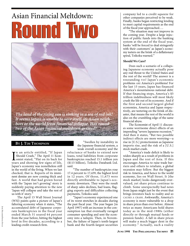## Round Two Round Two Asian Financial Meltdown:



#### **BY J. TIM THOMPSON**

In an article entitled, "If Japan<br>Should Crash," The April 11 Econ-<br>omist stated, "Flat on its back for<br>vears and showing few signs of life. n an article entitled, "If Japan Should Crash," The April 11 Econyears and showing few signs of life, Japan's economy was nonetheless still in the world of the living. When we last checked, that is. Reports of its imminent demise are now coming thick and fast. A world that had grown bored with the 'Japan isn't growing' story is suddenly paying attention to the new 'Japan will collapse and take the rest of us with it' story."

The April 15 Wall Street Journal (WSJ) paints quite a picture of Japan's faltering economy when it states, "The accumulated debt of Japanese corporate bankruptcies in the fiscal year ended March 31 soared 64 percent from the year before, hitting the highest level in five decades, according to a leading credit-research firm.

"Swollen by instability in the Japanese financial system, a weak overall economy and the

reluctance of banks to extend new loans, total liabilities from corporate bankruptcies reached 15.1 trillion yen (\$115 billion), Teikoku Databank Ltd. said.

"The number of bankruptcies rose 17.4 percent to 17,439, the highest level in 12 years. Of those, 11,675 were directly attributable to Japan's economic downturn. They were the result of sharp sales declines, bad loans, flagging exports and difficulties collecting payments, Teikoku said.

"Japan's economy experienced one of its worst stretches in decades during the past fiscal year. The year began [in April 1997] with an increase in the consumption tax that eventually ravaged consumer spending and sent the economy into a tailspin. Then, in November, the failure of Japan's tenth-largest bank and the fourth-largest securities

company led to a credit squeeze for other companies perceived to be weak. Finally, banks began restricting lending to meet capital requirements as the end of the fiscal year approached….

"The situation may not improve in the coming year. Despite a large injection of public funds into the banking system at the end of the fiscal year, banks 'will be forced to deal stringently with their customers' as Japan's economy teeters on the brink of a deflationary spiral, Teikoku warned."

#### **Should We Care?**

Does such a scenario of a collapsing Japanese economy actually pose any real threat to the United States and the rest of the world? The answer is a resounding YES! Japan's economic problems ARE America's problems! For the last 15 years, Japan has financed America's mountainous national debt. If that financing stops, America's \$5 trillion indebtedness will most likely crush the life out of its economy. And if the first and second largest global economies, America and Japan respectively, are teetering on the brink of disaster, that means the rest of the world is also on the crumbling edge of the same financial abyss.

The Economist of April 11 discusses some worrisome direct effects of an impending "severe Japanese recession." And then it states, "But two possible indirect effects are more worrying—a rise in [U.S.] protectionism as Japanese imports rise, and the risk of a [U.S.] stock market crash.

"America's trade deficit is likely to widen sharply as a result of problems in Japan and the rest of Asia. If this encourages America to raise trade barriers and others to retaliate, a global recession may follow. But the biggest risk to America, and hence to the world economy, lies on Wall Street. It [the stock market] looks dangerously overvalued, yet share prices continue to climb. Some unexpectedly bad news from Japan might just be the event that brings investors back to reality and so CAUSES A CRASH. Awkwardly, America's economy is more vulnerable to a drop in share prices than ever before. Almost twice as many Americans hold shares today as in the mid-1980s (either directly or through mutual funds or pension funds). A fall in share prices will make a much bigger dent in the economy." Actually, such a reality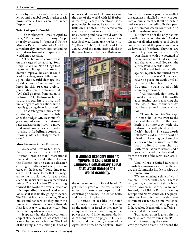check by investors will likely mean a PANIC and a global stock market crash more severe than even the Great Depression!

#### **Total Collapse Is Possible**

The Washington Times of April 12 says, "The chairman of Sony Corp. sharply criticized [Japanese] Prime Minister Ryutaro Hashimoto April 2 as a modern-day Herbert Hoover leading his nation toward collapse and the world into recession.

"'The Japanese economy is on the verge of collapsing,' Sony Corp. Chairman Norio Ohga told reporters. If Japan's economy doesn't improve, he said, it could lead to a dangerous deflationary spiral that would damage the world economy." As we will read later in this present article, Jeremiah 25:32 prophesies that "evil shall go forth from nation to nation…." Deflation in Japan could spread insidiously and unhaltingly to other nations like a rapidly growing financial cancer!

The Washington Times article continues, "In an attempt to balance the budget, Mr. Hashimoto's government raised the national sales tax last spring [1997], a move that most analysts credit with turning a fledgling economic recovery into a full-fledged recession."

#### **More Financial Crises Foreseen**

Associated Press writer Harry Dunphy wrote in the April 15

Houston Chronicle that "International financial crises are like the sinking of the Titanic. No one can see disaster coming but afterward everyone can agree on the iceberg." Long-time readers of The Trumpet know that this magazine has proclaimed for years that such a financial crisis was in the world's future. The late Herbert W. Armstrong warned the world for over 50 years of this impending disaster! And now it looks as if it is finally going to occur. The Chronicle article continues, "Economists and bankers say they know the financial firestorm that swept through Asia last year WILL HAPPEN AGAIN, but they can't say where or when."

It appears that the global economic ship of state has STRUCK AN ICEBERG and is soon headed to the bottom! The land of the rising sun is sinking in a sea of red ink and may well take America and the rest of the world with it! Herbert Armstrong clearly understood God's prophecies; however, he was just off a little on his dates. These cataclysmic events are about to snap shut on an unsuspecting and naive world with the sudden ferocity of a STEEL BEAR TRAP! (See Eccl. 9:12; Lam. 3:45-47; Jer. 4:19- 20; Ezek. 12:9-13; 17:19-21 and Luke 21:35.) And the main sitting ducks in the cross hairs are America, Britain and



#### If Japan's economy doesn't improve, it could lead to a dangerous deflationary spiral that would damage the world economy.

the other nations of biblical Israel. To get a better grasp on this vast subject, write for your free copy of Mr. Armstrong's booklet, The United States and Britain in Prophecy.

Financial crises like the Asian meltdown are a snare which will weaken the nations of Israel so they may be conquered by a soon-coming superpower the world little understands. Mr. Armstrong wrote on pages 194-195 in his final and finest book, Mystery of the Ages: "It will now be made plain—from God's own warning prophecies—that this greatest multiplied intensity of corrective punishment will fall on Britain and America—including British peoples in Commonwealth countries. And it will strike them down first!

"But they are not the only nations to suffer corrective disaster. God is Creator of all other nations, too! God is concerned about the people and races we have called 'heathen.' They, too, are human. They, too, are made in God's

own likeness, with the potential of being molded into God's spiritual and character IMAGE! God sent the apostle Paul to gentile nations!

"All mankind has rebelled against, rejected, and turned from God and his ways! There can never be peace on earth until all nations will have been turned to God and his ways, ruled by his supreme government!

"All mankind, right now, is caught in the vortex of the swiftly accelerating crisis marking the utter destruction of this world's man-built, Satan-inspired civilization.

"Through Jeremiah God says: 'A noise shall come even to the ends of the earth; for the Lord hath a controversy with the nations, he will plead with all flesh'—how?… The next words tell HOW God is now about to plead: '…he will give them that are wicked to the sword, saith the Lord…. Behold, EVIL shall go forth from nation to nation, and a great whirlwind shall be raised up

from the coasts of the earth' (Jer. 25:31- 32).

"God will use a United Europe to punish Britain-America. Then He will use the Communist hordes to wipe out the Roman Europe.

"We are entering a time of world trouble—utter WORLD chaos! There is war, strife, violence in Asia, Africa, South America, Central America, Ireland, the Middle East—as well as Europe and North America. The population explosion is a worldwide threat to human existence. Crime, violence, sickness, disease, inequality, poverty, filth, squalor, degeneration, suffering these infest ALL nations!

"But, as salvation is given first to Israel, so is corrective punishment!"

Mr. Armstrong then went on to vividly describe from God's word the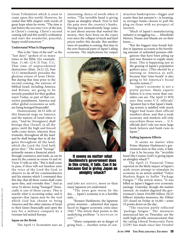Great Tribulation which is soon to come upon this world. However, he ended that fifth chapter with words of great hope when he wrote, "The time is just before the RESURRECTION of the just, at Christ's coming. Christ's second coming will end this world's civilization and start the wonderful, peaceful, happy world tomorrow."

#### **Understand What Is Happening**

This is the "time of the end" or the "last days" spoken of so many times in the Bible (for example, Dan. 11:40; 12:9; II Tim. 3:1). That time of unprecedented destruction (Matt. 24:21-22; Dan 12:1) immediately precedes the glorious return of Jesus Christ. But during that time prior to the second coming, the nations of biblical Israel, including America and Britain, are going to be severely punished for their godless ways! Today, as part of that corrective punishment, America and other global economies as well, are being besieged financially!

Deuteronomy 28:52 tells of this financial siege on America and the nations of Israel when it says, "And he [foreigners] shall besiege thee [Israel] in all thy gates, until thy high and fenced walls come down, wherein thou trustedst, throughout all thy land: and he shall besiege thee in all thy gates throughout all thy land, which the Lord thy God hath given thee." The word "besiege" primarily means a financial attack

through commerce and trade, as can be seen by the context in verses 43 and 44. Verse 15 tells us why. "But it shall come to pass, if thou wilt not hearken unto the voice of the Lord thy God, to observe to do all his commandments and his statutes which I command thee this day; that all these curses shall come upon thee, and overtake thee." And as verse 52 shows, being "besieged" financially is one of those curses. This is exactly what is occurring today, and it appears that Japan may be the tool which God has chosen to bring America and the other nations of Israel to their knees financially and open the way for a military conquest by a German-led united Europe.

#### **Japan on the Brink**

The April 11 Economist uses an

interesting choice of words when it writes, "The invisible hand is giving Japan an almighty whack. First to feel the pain were the country's banks. Having lent immoderately large sums to just about anyone that wanted the money, they have been on the ropes ever since the collapse of stock and land prices earlier this decade. But another wave of casualties is coming, this time in the non-financial parts of Japan's ailing economy. The implications for output



#### It seems no matter what Hashimoto's government does in this crisis, it fails. Can it be because God is giving Japan an almighty whack?

and jobs are SERIOUS, more so than many Japanese yet understand.

"The news gets worse by the day…. Japan's economy is in a horrible state….

"Ryutaro Hashimoto, the Japanese prime minister…admitted that Japan faced its biggest economic crisis since 1945." The article then points to the underlying problem: "a MOUNTAIN OF DEBT."

"Many companies are in danger of going bust…. Another series of construction bankruptcies—bigger and scarier than last autumn's—is looming, as stronger banks choose to pull the plug on firms with no prospect of recovery.

"Much of Japan's manufacturing industry is struggling too…. Mitsubishi Motors, Nissan and Mazda are on their knees.…

"But the biggest time-bomb hidden in Japanese accounts is the horrifying amount of unfunded pension obli-

gations that have been piling up and now threaten to topple many firms. This is happening just as the graying of Japan's population gathers pace. [This should be a warning to America as well, because that 'time-bomb' is also going to hit America's Social Security system.]"

Japan's economy is not a pretty picture. Many experts believe it is even worse than outsiders can see. The April 13 WSJ says that some U.S. officials' "greatest fear is that Japan's banking system is saddled with much bigger bad loans than official numbers show, and that a weak economy and markets will only exacerbate those woes…. U.S. officials don't rule out more large bank failures and bank runs in Japan."

#### **Failing Japanese Efforts**

It seems no matter what Prime Minister Hashimoto's government does in this crisis, it fails. Can it be because the "invisible

hand [the Creator God!] is giving Japan an almighty whack"?

The April 12 Financial Times reported on the likely impact of Japan's sixth recent attempt to stimulate its economy in an article entitled "Tokyo Markets Begin to Suffer 'Package Fatigue.'" The article states, "It was billed as Japan's biggest ever economic package. Yesterday, though, the market yawned. As traders digested the government's latest ¥16,000 billion (\$125 billion) stimulus measures, the Nikkei 225 closed on Friday at 16,481—some 55 points down on the day.

"The reaction partly reflected 'package fatigue.' The measures announced late on Thursday, are the sixth high-profile announcement that the ruling Liberal Democratic Party (LDP) has made since late October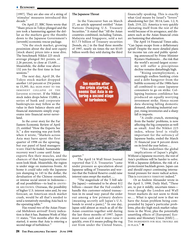#### ♦ **ECONOMY**

[1997]. They are also one of a string of 'stimulus' measures introduced this decade."

On April 27, BBC News wrote that "Share prices in Tokyo plunged and the yen took a hammering against the dollar as the markets gave the thumbs down to the Japanese Government's [seventh] economic rescue package.

"On the stock market, growing pessimism about the deal sent equity [stock share] prices into a nose dive. The benchmark Nikkei 225 stock

average plunged 361 points, or 2.26 percent, to close at 15,649…. Meanwhile, the dollar rose above 132 yen for the first time in four sessions."

The next day, April 28, the Tokyo stock market dropped another 1.63 percent or 254 points to 15,395. ALL SIGNS POINT TO THE IMMINENT COLLAPSE OF THE JAPANESE ECONOMY. If the Nikkei stock index drops below 15,000, a series of bank and corporate bankruptcies may follow as the value in their balance sheets and financial statements simply evaporates into financial never-neverland.

In the cover story for the Far Eastern Economic Review of April 23, entitled "How the Experts See It," a dire warning was put forth when it wrote, "Markets across Asia may have spent the first quarter of 1998 on the upswing, but our panel of fund managers WARN: Don't be fooled. Sustainable recovery won't come until Asian

exports flex their muscles, and the chances of that happening anytime soon look bleak. Meanwhile, the region is under siege on numerous fronts. At home it could take only the Japanese yen slumping to 145 to the dollar, the devaluation of the Chinese renminbi, or intense social unrest in Indonesia all real possibilities—to lead to ANOTH-ER MELTDOWN. Overseas, the possibility of higher U.S. interest rates and, by one forecast, an American stock market crash, would be all that's needed to send a tentatively mending Asia back to the operating table."

Has round two of the Asian Financial Meltdown arrived? Every indication is that it has. Business Week of May 11 states, "Ten months after the crisis started, it seems that Asia is entering a second stage of turbulence."

#### **The Japanese Threat**

In the Vancouver Sun on March 27, an article appeared entitled "Asian Nations Dumping U.S. Treasury Securities." It stated that "All the Asian countries combined, including Taiwan, Malaysia and Singapore, sold a net \$17.73 billion of Treasury securities [bonds, etc.] in the final three months of 1997, nearly six times the net \$3.05 billion worth they sold during the third



#### quarter."

The April 14 Wall Street Journal reported that U.S. Treasuries "came under pressure as speculation about Japanese selling of Treasuries and worries that the Federal Reserve could raise interest rates swept the market….

"The magnitude of the T-bill sale [by Japan]—estimated to be about \$12 billion—meant that the Fed couldn't handle this customer-related transaction in its usual way: parcel the order out among a few primary dealers [meaning secretly sell Japan's U.S. bonds to avoid a panic]." In one day, Japan sold almost as much as all of the Asian countries together sold during the last three months of 1997. Japan must raise cash and it must raise it quickly, even if it means pulling the rug out from under the United States,

financially speaking. This is exactly what God means by Israel's "lovers" abandoning her (Jer. 30:14; Lam. 1:2, 9; Ezek. 23:9, 22). America is very quickly alienating itself from the rest of the world because of its arrogance, and disasters such as the Asian financial crisis are hastening that alienation.

The April 14 Financial Times asks, "Can Japan escape from a deflationary spiral? Despite the more detailed plans for income tax cuts and public spend-

ing announced by Prime Minister Ryutaro Hashimoto…the risk that the world's second-largest economy will suffer a precipitous decline remains disturbingly high.

"Rising unemployment, a seemingly endless banking crisis and a debt hangover from the bubble economy of the 1980s have all combined to cause Japanese consumers to go on strike. Collapsing business confidence has produced an equally worrying investment strike. Hence recent data showing falling domestic demand, shrinking industrial output, rising inventories and a sharp fall in imports.

"A credit crunch, stemming from the banks' problems, is now affecting the big companies as well as small. And the Nikkei 225 index, whose level is vitally important for the solvency of Japanese banks, ended the March 31 financial year 8 percent down on its level the year before….

"This underlines the global implications of Japan's plight. Without a Japanese recovery, the rest of Asia's problems will be harder to solve. With a Japanese deflation, the risk of a protectionist backlash grows. Japan can and should expect continuing international pressure for more radical action. This is DANGEROUS TERRITORY indeed."

Or as Andrew Alexander wrote in the April 3, 1998, Daily Mail, "These are, to put it mildly, uncertain times even though the London and Wall Street markets do not seem to think so…. What is special now is that we have the Asian problem being compounded by Japan's particular problems, plus sky-high stock market valuations in the West, plus the potentially unsettling effects of [European] Economic and Monetary Union [EMU]…. THE INGREDIENTS FOR REAL TROUBLE ARE IN PLACE." ◆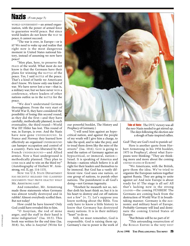## Nazis *(From page 5)*

WORLD GOVERNMENT—an armed organization, with the power of armed force to guarantee world peace. But since world leaders do not know the WAY to peace, it cannot succeed.

"The war is over, in Europe—or is it? We need to wake up and realize that right now is the most dangerous moment in United States national history, instead of assuming we now have peace!

"Men plan, here, to preserve the PEACE of the world. What most do not know is that the Germans have their plans for winning the BATTLE of the peace. Yes, I said BATTLE of the peace. That's a kind of battle we Americans don't know. We know only one kind of war. We have never lost a war—that is, a military war; but we have never WON a conference, where leaders of other nations outfox us in the BATTLE for the peace.

"We don't understand German thoroughness. From the very start of World War II, they have considered the possibility of losing this second round, as they did the first—and they have carefully, methodically planned, in such eventuality, the third round—World War III! Hitler has lost. This round of war, in Europe, is over. And the Nazis have now gone UNDERGROUND. In France and Norway they learned how effectively an organized UNDERGROUND can hamper occupation and control of a country. Paris was liberated by the French UNDERGROUND—and Allied armies. Now a Nazi underground is methodically planned. They plan to COME BACK and to win on the third try" (Autobiography of Herbert W. Armstrong, vol. II, pp. 114-115).

NOW THE U.S. STATE DEPARTMENT HAS RECENTLY RELEASED THE CLASSIFIED DOCUMENTS THAT PROVE EXACTLY WHAT MR. ARMSTRONG SAID!

And remember, Mr. Armstrong made those statements when Germany was almost totally destroyed and in rubble! Almost everybody scoffed then. But not today!

How could he have known? Only God could have revealed this to him.

"O Assyrian, the rod of mine anger, and the staff in their hand is mine indignation" (Isa. 10:5). This book was written for the end time (Isa. 30:8). So, who is Assyria? (Write for



our powerful booklet, The History and Prophecy of Germany.)

"I will send him against an hypocritical nation, and against the people of my wrath will I give him a charge, to take the spoil, and to take the prey, and to tread them down like the mire of the streets" (Isa. 10:6). GOD is going to send the nation of Germany against an hypocritical, or immoral, nation— Israel. It is speaking of America and Britain—nations which believe it is all right for their leaders and themselves to be immoral. But God has a vastly different view. God uses one nation, or one group of nations, to punish other nations. The punishment is all God's doing—not German ingenuity.

"Howbeit he meaneth not so, neither doth his heart think so; but it is in his heart to destroy and cut off nations not a few" (v. 7). Let's suppose you know nothing about the Bible. You only have to know a little history to know that Germany has destroyed many nations. It is in their military "heart" to do so.

Still, we must remember, God is responsible. God is raising them up. Germany's rise to power is the work of

**Tide of Hate:** The DVU victory was all the neo-Nazis needed to get stirred up. The days following the election saw a slough of hate-inspired rallies.

God! They are God's tool to punish us!

Here is another quote from Herbert Armstrong in his 1956 booklet, 1975 in Prophecy!, about what Europeans were thinking: "They are thinking more and more about the coming UNITED STATES OF EUROPE!

"We Americans, with the British, gave them the idea. We've tried to organize the European nations together against Russia. They are going to unite against us! And now Europe is about ready for it! The stage is all set! All that's lacking now is the strong LEADER—the coming FÜHRER! The Germans are coming back from the destruction of World War II in breathtaking manner. Germany is the economic and military heart of Europe. Probably Germany will lead and dominate the coming United States of Europe.

"But Britain will be no part of it!

"This astounding resurrection of the ROMAN EMPIRE is the very NEXT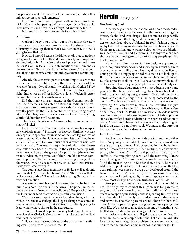prophesied event. The world will be dumfounded when this military colossus actually emerges."

How could he possibly speak with such authority in 1956? Now it is happening before our eyes. Only God could have revealed such prophecies! Only God knows the future.

It is time for all of us to awaken before it is too late!

#### **Anti-Euro**

Gerhard Frey's pro-Nazi party is against the new European Union currency—the euro. He doesn't want Germany to give up their famous Deutschemark. But he is going to lose that battle.

How do I know? Because the Bible reveals that 10 nations are going to unite politically and economically in Europe and destroy mightily. And who is the real power behind these nations? God, in Isaiah 10:5, only mentions the Germans as the real power. Germany will use the European Union to conceal their nationalistic ambitions and give them a certain dignity.

Already the extremist parties are uniting to exert more influence. Franz Schönhuber, the former leader of the extreme far-right Republicans, is working with Gerhard Frey to stop the infighting in the extreme parties. Franz Schönhuber was an officer in Hitler's violent Wafen SS. After the war, he retained his pro-Nazi views.

Did that make him an enemy of the German people? No—he became a media star on Bavarian radio and television! German commentators have said for years that a wealthy party like the DVU, combined with a stirring orator like Schönhuber, could create a powerful force! He is getting a little old, but there will be others.

The denazification of Germany has proven to be a shameful joke!

Here is what the Thueringer Allgemeine wrote on April 27 (emphasis mine): "THE DAM HAS BROKEN. Until now, it was only sporadic appearances in some of the state legislatures of western states. Now the right-wing extremists are sitting in an eastern parliament, too. And THERE IS FEAR THAT IT WILL NOT REST AT THAT. That means, regardless of whom the future chancellor may be, the pressure in the east to come up with new ideas will be all the greater. In particular (the election results indicate), the mistakes of the GDR [the former communist power of East Germany] are increasingly being felt by the young, who, on account of age, HAVE ONLY HAZY IMPRES-SIONS OF WHAT ONCE WAS."

The young have hazy memories of Hitler's evil goals and his downfall. "The dam has broken," and "there is fear that it will not rest at that." There is a spirit moving Germany in a very evil direction.

A German panel has quickly closed the probe into the numerous Nazi incidents in the army. The panel indicated there were only "two or three evildoers." People who know the facts understand that was a disgraceful conclusion.

Watch for some spectacular and sudden changes for the worse in Germany. Perhaps the biggest change may come in the September election. That election is probably going to lead to many more shocks in the near future.

There is still great hope in this very bad news. Because it is a sign that Christ is about to return and destroy the Nazi war machine forever!

Still, we must brace ourselves for the worst time of suffering ever—just before Christ returns. ◆

## Heroin *(From page 16)*

#### **Not Looking Cool**

Americans glamorize their addictions. Over the decades, companies have invested billions of dollars in advertising cigarettes, alcohol and even drugs. These commercials generally feature the young, the tough and the beautiful. Is it any wonder we have drug-abuse problems? In 1997, fashion photography featured young models who looked like heroin addicts. Using great lighting and expensive clothes, heroin addiction was made to look in and glamorous. Is it any wonder then that we have a new generation of young people getting hooked on heroin?

Advertisers, film makers, fashion designers, photographers, pop musicians, actors and sports figures must begin to accept the responsibility that what they do affects the lives of young people. Young people need role models to look up to. If the role model lives a clean life, so will the young follower. But the opposite is all too true. We have too many role models today who lead our young people into wretched lifestyles.

Stopping drug abuse means we must educate our young people to the stark realities of drug abuse. Being hooked on hard drugs is anything but glamorous. One adult described heroin addiction this way: "It is like being possessed by the devil…. You have no freedom. You can't go anywhere or do anything. You can't have relationships. Everything is just about getting the heroin. It's a horrible way to live" (New York Times, April 12, 1998). This miserable lifestyle is never communicated in a fashion-magazine photo. Medical professionals know that heroin addiction is the hardest addiction to break. Overcoming heroin addiction is a very ugly struggle. Real drug users do not look cool. We must make sure our kids see this aspect to the drug-abuse problem.

#### **Give Your Time**

Realize how vulnerable our kids are to trends and other kids. One young heroin addict, now in recovery, warned how easy it was to get hooked. He was quoted in the above-mentioned Times article as saying, "The first time I tried it was at a party, when I was 17…. This kid passed a little bit out. I sniffed it. We were playing cards, and the next thing I knew was…I feel good!" The author of the article then comments, "And the next thing he knew after that, he said, he was an addict, a dropout and a convict, prey to an obsession that has been ruining lives since the drug was developed around the turn of the century" (ibid.). If your impression of a drug pusher is an evil-looking adult, you must update your image. Today, most kids get hooked on drugs from other kids.

Peer pressure is one of the strongest pulls in your child's life. The only way to combat this problem is for parents to stay in a close relationship with their children. Our most effective weapon against drug abuse is spending time with our kids. We should be deeply involved in our children's lives and activities. Too many parents are not there for their children. Absentee parents open up a great void in a young person's life. We must recognize that someone or something will fill that void. Today, that something could be heroin.

America's problems with illegal drugs are complex. Yet there are some very simple solutions. Let's all individually face our nation's drug-abuse problem. Let's take the steps to be sure that heroin doesn't make its home at our house. ◆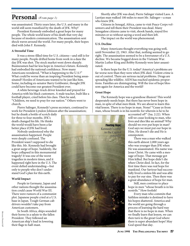## **Personal** *(From page 1)*

was assassinated. Thirty years later, the U.S. and many in the world still seem transfixed by the death of JFK. Why?

President Kennedy embodied a great hope for many people. The whole world knew of his death that very day because of modern communication. The assassination sent shock waves around the world. For many people, their hopes died with John F. Kennedy.

#### **A Stressful Time**

It was a stress-filled time for U.S. citizens—and still is for many people. People drifted home from work in a daze the day JFK was shot. The stock market went down sharply. Businessmen had far less hope in America's future. Kennedy had embodied the national confidence. Now many Americans wondered, "What is happening to the U.S.?" What could be worse than an inspiring President being assassinated? Hordes of Americans wanted to be just like him. Some, including ex-senator Barry Goldwater, thought JFK could have become our greatest President ever.

A white beverage-truck driver kneeled and prayed for America with his black customers. A male teacher, built like a football player, cried before his class. Then he said, "Children, we need to pray for our nation." Others went to church.

Pierre Salinger, Kennedy's press secretary, continued to work for President Lyndon Johnson after the assassination;

but he drank a bottle of scotch daily for three to four months. JFK's death changed his life. He thinks the world would have been a far better place if JFK had lived.

Nobody understood why the assassination happened. People were deeply confused. The President wasn't supposed to die like this. Mr. Kennedy had brought a great surge of hope. Suddenly, the hope collapsed in this monumental tragedy! It was one of the worst tragedies in modern times, and it happened right here in the U.S. The event defied understanding—but only to people who don't understand God's plan for this earth.

#### **World Impact**

People in Germany, Japan and other nations thought the assassination could cause World War III. There were rumors of a communist plot. Japanese people cried at a U.S. base in Japan. Tough German cab drivers wouldn't take pay from American customers.

In South Africa, ships sounded their horns in a salute to the fallen President. They followed an American ship's lead in lowering their flags to half-mast.

Shortly after JFK was dead, Pierre Salinger visited Laos. A Laotian man walked 100 miles to meet Mr. Salinger—a man who knew JFK.

Citizens in Senegal, Africa, came to visit Peace Corps volunteers and tell them their President was dead. Many Senegalese citizens came to visit, shook hands, stayed five minutes or so without saying a word and then left.

The impact on the world was phenomenal.

#### **U.S. Decline**

Many Americans thought everything was going well, until November 22, 1963. After that, nothing seemed to go right. The assassination seemed to be a forerunner of a U.S. decline. We became bogged down in the Vietnam War. Martin Luther King and Bobby Kennedy were later assassinated.

Is there hope for the U.S. today? America's problems are far worse now than they were when JFK died. Violent crime is out of control. There are serious racial problems. Drugs are spreading like wildfire. AIDS has reached epidemic proportions. Families are disintegrating. Will the tree of hope blossom again for America and the world?

#### **Great Hope**

The Kennedy hope was a grandiose illusion! This world desperately needs hope. But there has never been hope in man, in spite of what men think. We are about to learn this vital lesson. There is no hope in man. None! "Cease ye from man, whose breath is in his nostrils: for wherein is he to be



accounted of?" (Isa. 2:22). When will we cease looking to man, who lives and dies like an animal? Why should we ever put hope in man? God says we must put our hope in Him. He doesn't die and He is omnipotent.

There was a man who walked this earth almost 2,000 years ago who was younger than JFK when He was assassinated. His name was Jesus Christ. He came with a message of hope. That message got Him killed. But hope didn't die when Christ died. In fact, for the first time there was real hope for mankind. Our Saviour had successfully lived a sinless life and was able to pay for our sins. Then there was a great abundance of hope for man.

Still, men continue to place hope in men "whose breath is in his nostrils." How foolish!

Every man who commits that faithless mistake is destined to have his hopes shattered. America and the world are going through a process of learning the hard way that there is no hope in man. When we finally learn that lesson, we can then turn to the great God where there is super abundant hope! May God speed that day.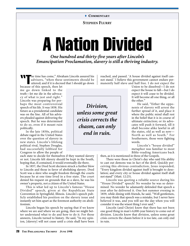#### ♦ **COMMENTARY**

**STEPHEN FLURRY**

# A Nation Divided

*One hundred and thirty-five years after Lincoln's Emancipation Proclamation, slavery is still a thriving industry.*

The time has come," Abraham Lincoln assured his advisers, "when these sentiments should be uttered; and if it is decreed that I should go down

because of this speech, then let me go down linked to the truth—let me die in the advocacy of what is just and right." Lincoln was preparing for perhaps the most controversial speech of his life. It was 1858. His future as a presidential candidate was on the line. All of his advisers pleaded against delivering the speech. But he was determined to do so, even if it meant ruin politically.

In the late 1850s, political debate raged in the United States over the question of slavery in new states. Lincoln's lifelong political rival, Stephen Douglas, had successfully lobbied for Congress to allow the people of

each state to decide for themselves if they wanted slavery or not. Lincoln felt slavery should be kept in the South, hoping that, if contained, it would eventually die there.

In 1857, the Dred Scott decision struck a further blow to Lincoln and those in favor of abolishing slavery. Dred Scott was a slave who sought freedom through the courts because he at one time lived in a free state. The court denied his request on grounds that as a slave, he was his owner's property, not a citizen of the United States.

This is what led up to Lincoln's famous "House Divided" speech, given at the Republican State Convention in Springfield, Illinois. Lincoln's speech publicly established his position on the slavery issue and instantly set him apart as the foremost authority on abolitionism.

Lincoln began his speech by saying that if we know where we are and where we are going, then we might better understand what to do and how to do it. For those answers, Lincoln turned to history. He said, "In my opinion, [slavery] will not cease until a crisis shall have been

not stand.' I believe this government cannot endure permanently half slave and half free. I do not expect the Union to be dissolved—I do not

reached, and passed. 'A house divided against itself can-

expect the house to fall—but I do expect it will cease to be divided. It will become all one thing, or all the other."

He said, "Either the opponents of slavery will arrest the further spread of it, and place it where the public mind shall rest in the belief that it is in course of ultimate extinction; or its advocates will push it forward, till it shall become alike lawful in all the states, old as well as new— North as well as South." For Southerners, those were fighting words.

Lincoln's "house divided" metaphor was familiar to most Bible-reading Americans back

then, as it is mentioned in three of the Gospels.

There were those in Christ's day who said His ability to cast out demons was in fact of the devil. Quickly perceiving this obvious contradiction, Jesus responded, "Every kingdom divided against itself is brought to desolation; and every city or house divided against itself shall not stand" (Matt. 12:25).

Lincoln was quoting a reliable source during his "House Divided" speech! No wonder he was so determined. No wonder he adamantly defended that speech a year after he delivered it. One hot summer evening in 1859, while dining with friends, he said, "Well gentlemen, you may think that speech was a mistake, but I never have believed it was, and you will see the day when you will consider it was the wisest thing I ever said."

Lincoln (and Christ) knew that there has not been one good thing in man's 6,000-year history to come out of division. Lincoln knew that division, unless some great crisis corrects the chasm before it is too late, can only end in ruin.

*Division, unless some great crisis corrects the chasm, can only end in ruin.*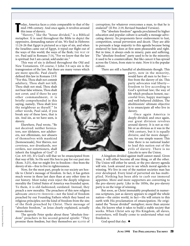T oday, America faces a crisis comparable to that of the mid-19th century. And once again, it revolves around this issue of slavery.

"Slavery," like the "house divided," is a Biblical metaphor. It is used throughout the Bible to depict the oppressive, demanding nature of sin. We find in Hebrews 11:24-26 that Egypt is pictured as a type of sin, and when the Israelites came out of Egypt, it typed our flight out of the ways of this world; the ways of the flesh; THE WAY OF SIN. Paul said in Romans 7:14, "For we know that the law is spiritual: but I am carnal, sold under sin."

This way of sin is defined throughout the Old and New Testaments. Of course, I John 3:4 says sin is the transgression of the law. But there are many verses which

are more specific. Paul clearly defined this law in Romans 13:9: "For this, Thou shalt not commit adultery, Thou shalt not kill, Thou shalt not steal, Thou shalt not bear false witness, Thou shalt not covet; and if there be any other commandment, it is briefly comprehended in this saying, namely, Thou shalt love thy neighbour as thyself." In other words, Paul said, if you break any of these laws, that is sin. And sin, as we have seen, is slavery.

Elsewhere, Paul wrote, "Be not deceived: neither fornicators, nor idolaters, nor adulterers, nor effeminate, nor abusers of themselves with mankind [homosexuals], Nor thieves, nor covetous, nor drunkards, nor revilers, nor extortioners, shall inherit the kingdom of God" (I

Cor. 6:9-10). It's God's will that we be emancipated from that way of life. So He sent His Son to pay for our past sins (Rom. 3:25), that we might live in freedom—free from the slavery of sin—free to live in righteousness.

Now, for the most part, people in our society are hostile to Christ's message of freedom. In fact, it has gotten much worse in these last days than at any other time in our history. Most today even reject the deeply religious morality the United States of America was founded upon. To them, it is old-fashioned; outdated. Instead, they preach a new morality. The preachers of this new religion advocate ABSOLUTE FREEDOM—not the kind of freedom preached by our Founding Fathers which they based on religious principles; not the kind of freedom from the sins of the flesh preached by Christ. Their message of "absolute freedom," as Jesus clearly explained, actually means slavery.

The apostle Peter spoke about these "absolute freedom" preachers in his second general epistle: "They promise them freedom, but they themselves are SLAVES of corruption; for whatever overcomes a man, to that he is enslaved" (II Pet. 2:19, Revised Standard Version).

The "absolute freedom" agenda proclaimed by higher education and popular culture is actually a message advocating slavery. Its proponents favor enslavement to lust, competition, sexual perversion and deceit. They are able to persuade a large majority to this agenda because being enslaved by lusts does at first seem pleasurable and right. But in time, it always ends in misery, pain and suffering. The "absolute freedom" party used to be in the minority; it used to be a counterculture. But like cancer it has spread across the Union, from state to state. Now it is the popular culture.

There are still a handful of abolitionists though. This



party, now in the minority, would have all men to be free free from the slavery of sin. This party advocates real liberty freedom to live according to God's spiritual law; the way of life which produces honest, successful lives, happy marriages and well-behaved children. The abolitionists' ultimate objective is to emancipate all who live in slavery.

Once again America is deeply divided; and once again, our great division revolves around slavery. It is not as visible or as obvious as it was in the 19th century, but it is equally divisive, and far more dangerous, for one simple reason: This time there is no national leader to lead this nation out of the evils of slavery. There is no Lincoln to save the Union.

A kingdom divided against itself cannot stand. Given time, it will either become all one thing, or all the other. The Union will either be saved, or the pro-slavery agenda will win. Look around you to see which moral agenda is winning. We live in one of the nastiest societies man has ever developed. Every kind of perverted sin has multiplied. Nothing has been able to curb our immoral appetites. More and more supporters are converting to the pro-slavery party. Like in the 1850s, the pro-slavery party is on the verge of winning.

But soon, as Christ immutably prophesied in numerous scriptures, just as slavery appears to engulf the whole nation—the entire world, in fact—He will return to this earth with His proclamation of emancipation. He originated the "house divided" metaphor; more than anyone else, He knows what it takes to build a stable society that works. When Christ sets up His Kingdom, all slaves, everywhere, will finally come to understand what real freedom is.

God speed that day. ◆